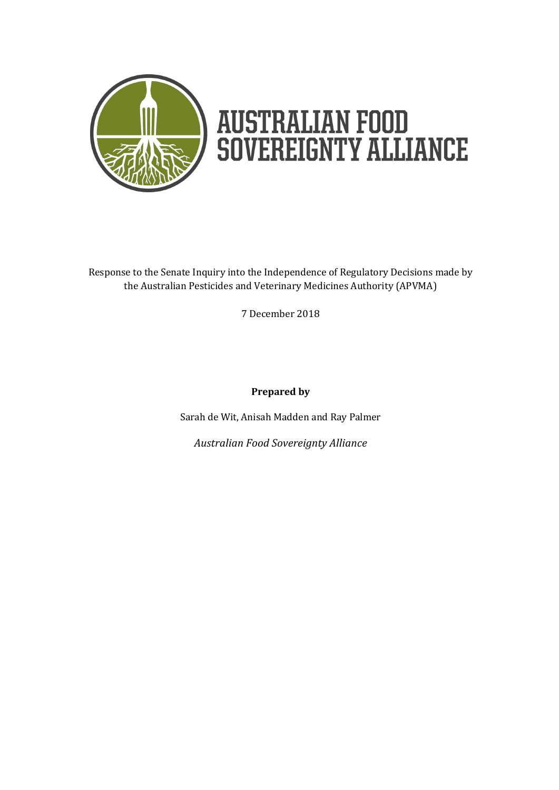

Response to the Senate Inquiry into the Independence of Regulatory Decisions made by the Australian Pesticides and Veterinary Medicines Authority (APVMA)

7 December 2018

**Prepared by**

Sarah de Wit, Anisah Madden and Ray Palmer

*Australian Food Sovereignty Alliance*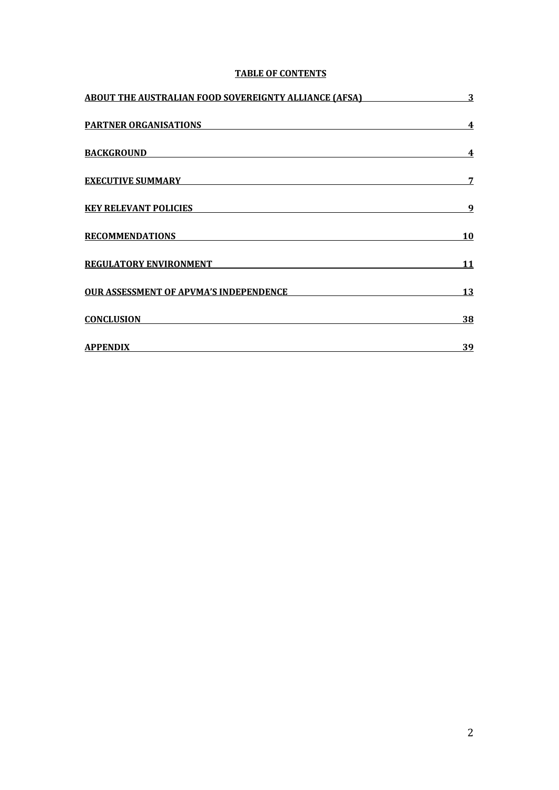# **TABLE OF CONTENTS**

| <b>ABOUT THE AUSTRALIAN FOOD SOVEREIGNTY ALLIANCE (AFSA)</b> | $\overline{3}$ |
|--------------------------------------------------------------|----------------|
| <b>PARTNER ORGANISATIONS</b>                                 | 4              |
| <b>BACKGROUND</b>                                            | 4              |
| <b>EXECUTIVE SUMMARY</b>                                     | 7              |
| <b>KEY RELEVANT POLICIES</b>                                 | 9              |
| <b>RECOMMENDATIONS</b>                                       | <u>10</u>      |
| <b>REGULATORY ENVIRONMENT</b>                                | 11             |
| <b>OUR ASSESSMENT OF APVMA'S INDEPENDENCE</b>                | 13             |
| <b>CONCLUSION</b>                                            | <u>38</u>      |
| <b>APPENDIX</b>                                              | <u>39</u>      |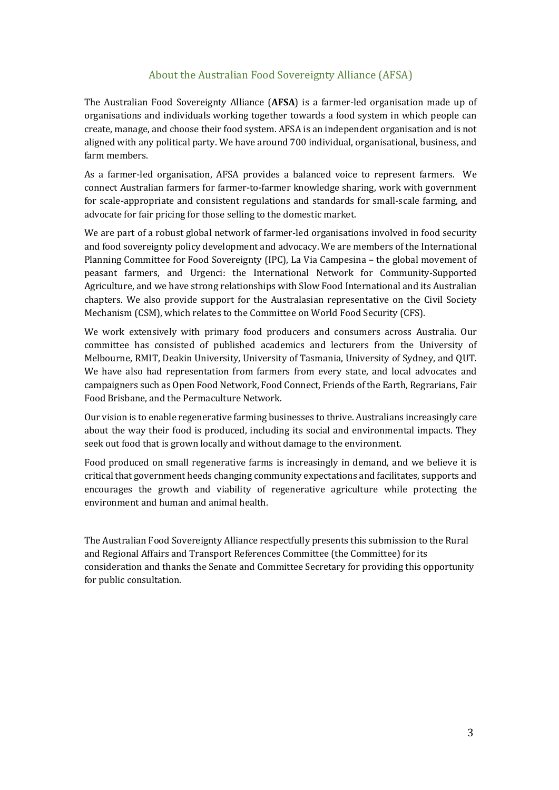# About the Australian Food Sovereignty Alliance (AFSA)

The Australian Food Sovereignty Alliance (**AFSA**) is a farmer-led organisation made up of organisations and individuals working together towards a food system in which people can create, manage, and choose their food system. AFSA is an independent organisation and is not aligned with any political party. We have around 700 individual, organisational, business, and farm members.

As a farmer-led organisation, AFSA provides a balanced voice to represent farmers. We connect Australian farmers for farmer-to-farmer knowledge sharing, work with government for scale-appropriate and consistent regulations and standards for small-scale farming, and advocate for fair pricing for those selling to the domestic market.

We are part of a robust global network of farmer-led organisations involved in food security and food sovereignty policy development and advocacy. We are members of the International Planning Committee for Food Sovereignty (IPC), La Via Campesina – the global movement of peasant farmers, and Urgenci: the International Network for Community-Supported Agriculture, and we have strong relationships with Slow Food International and its Australian chapters. We also provide support for the Australasian representative on the Civil Society Mechanism (CSM), which relates to the Committee on World Food Security (CFS).

We work extensively with primary food producers and consumers across Australia. Our committee has consisted of published academics and lecturers from the University of Melbourne, RMIT, Deakin University, University of Tasmania, University of Sydney, and QUT. We have also had representation from farmers from every state, and local advocates and campaigners such as Open Food Network, Food Connect, Friends of the Earth, Regrarians, Fair Food Brisbane, and the Permaculture Network.

Our vision is to enable regenerative farming businesses to thrive. Australians increasingly care about the way their food is produced, including its social and environmental impacts. They seek out food that is grown locally and without damage to the environment.

Food produced on small regenerative farms is increasingly in demand, and we believe it is critical that government heeds changing community expectations and facilitates, supports and encourages the growth and viability of regenerative agriculture while protecting the environment and human and animal health.

The Australian Food Sovereignty Alliance respectfully presents this submission to the Rural and Regional Affairs and Transport References Committee (the Committee) for its consideration and thanks the Senate and Committee Secretary for providing this opportunity for public consultation.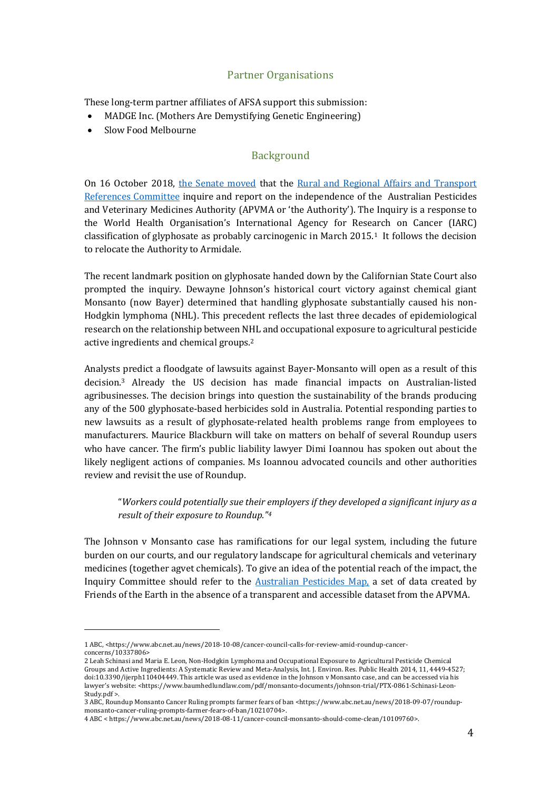# Partner Organisations

These long-term partner affiliates of AFSA support this submission:

- MADGE Inc. (Mothers Are Demystifying Genetic Engineering)
- Slow Food Melbourne

## Background

On 16 October 2018, the Senate moved that the Rural and Regional Affairs and Transport References Committee inquire and report on the independence of the Australian Pesticides and Veterinary Medicines Authority (APVMA or 'the Authority'). The Inquiry is a response to the World Health Organisation's International Agency for Research on Cancer (IARC) classification of glyphosate as probably carcinogenic in March  $2015<sup>1</sup>$  It follows the decision to relocate the Authority to Armidale.

The recent landmark position on glyphosate handed down by the Californian State Court also prompted the inquiry. Dewayne Johnson's historical court victory against chemical giant Monsanto (now Bayer) determined that handling glyphosate substantially caused his non-Hodgkin lymphoma (NHL). This precedent reflects the last three decades of epidemiological research on the relationship between NHL and occupational exposure to agricultural pesticide active ingredients and chemical groups.<sup>2</sup>

Analysts predict a floodgate of lawsuits against Bayer-Monsanto will open as a result of this decision.<sup>3</sup> Already the US decision has made financial impacts on Australian-listed agribusinesses. The decision brings into question the sustainability of the brands producing any of the 500 glyphosate-based herbicides sold in Australia. Potential responding parties to new lawsuits as a result of glyphosate-related health problems range from employees to manufacturers. Maurice Blackburn will take on matters on behalf of several Roundup users who have cancer. The firm's public liability lawyer Dimi Ioannou has spoken out about the likely negligent actions of companies. Ms Ioannou advocated councils and other authorities review and revisit the use of Roundup.

"Workers could potentially sue their employers if they developed a significant injury as a *result of their exposure to Roundup."4* 

The Johnson  $v$  Monsanto case has ramifications for our legal system, including the future burden on our courts, and our regulatory landscape for agricultural chemicals and veterinary medicines (together agvet chemicals). To give an idea of the potential reach of the impact, the Inquiry Committee should refer to the Australian Pesticides Map, a set of data created by Friends of the Earth in the absence of a transparent and accessible dataset from the APVMA.

<sup>1</sup> ABC, <https://www.abc.net.au/news/2018-10-08/cancer-council-calls-for-review-amid-roundup-cancerconcerns/10337806>

<sup>2</sup> Leah Schinasi and Maria E. Leon, Non-Hodgkin Lymphoma and Occupational Exposure to Agricultural Pesticide Chemical Groups and Active Ingredients: A Systematic Review and Meta-Analysis, Int. J. Environ. Res. Public Health 2014, 11, 4449-4527; doi:10.3390/ijerph110404449. This article was used as evidence in the Johnson v Monsanto case, and can be accessed via his lawyer's website: <https://www.baumhedlundlaw.com/pdf/monsanto-documents/johnson-trial/PTX-0861-Schinasi-Leon-Study.pdf >.

<sup>3</sup> ABC, Roundup Monsanto Cancer Ruling prompts farmer fears of ban <https://www.abc.net.au/news/2018-09-07/roundupmonsanto-cancer-ruling-prompts-farmer-fears-of-ban/10210704>.

<sup>4</sup> ABC < https://www.abc.net.au/news/2018-08-11/cancer-council-monsanto-should-come-clean/10109760>.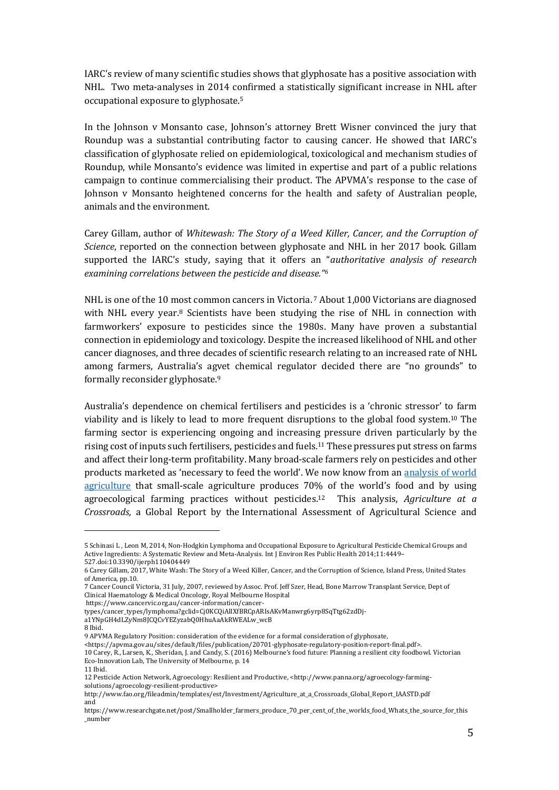IARC's review of many scientific studies shows that glyphosate has a positive association with NHL. Two meta-analyses in 2014 confirmed a statistically significant increase in NHL after occupational exposure to glyphosate.<sup>5</sup>

In the Johnson v Monsanto case, Johnson's attorney Brett Wisner convinced the jury that Roundup was a substantial contributing factor to causing cancer. He showed that IARC's classification of glyphosate relied on epidemiological, toxicological and mechanism studies of Roundup, while Monsanto's evidence was limited in expertise and part of a public relations campaign to continue commercialising their product. The APVMA's response to the case of Johnson v Monsanto heightened concerns for the health and safety of Australian people, animals and the environment.

Carey Gillam, author of *Whitewash: The Story of a Weed Killer, Cancer, and the Corruption of Science*, reported on the connection between glyphosate and NHL in her 2017 book. Gillam supported the IARC's study, saying that it offers an "*authoritative analysis of research* examining correlations between the pesticide and disease."<sup>6</sup>

NHL is one of the 10 most common cancers in Victoria.  $\frac{7}{1000}$  Victorians are diagnosed with NHL every year. $8$  Scientists have been studying the rise of NHL in connection with farmworkers' exposure to pesticides since the 1980s. Many have proven a substantial connection in epidemiology and toxicology. Despite the increased likelihood of NHL and other cancer diagnoses, and three decades of scientific research relating to an increased rate of NHL among farmers, Australia's agvet chemical regulator decided there are "no grounds" to formally reconsider glyphosate.<sup>9</sup>

Australia's dependence on chemical fertilisers and pesticides is a 'chronic stressor' to farm viability and is likely to lead to more frequent disruptions to the global food system.<sup>10</sup> The farming sector is experiencing ongoing and increasing pressure driven particularly by the rising cost of inputs such fertilisers, pesticides and fuels.<sup>11</sup> These pressures put stress on farms and affect their long-term profitability. Many broad-scale farmers rely on pesticides and other products marketed as 'necessary to feed the world'. We now know from an analysis of world agriculture that small-scale agriculture produces 70% of the world's food and by using agroecological farming practices without pesticides.<sup>12</sup> This analysis, *Agriculture at a Crossroads*, a Global Report by the International Assessment of Agricultural Science and

<sup>5</sup> Schinasi L, Leon M, 2014, Non-Hodgkin Lymphoma and Occupational Exposure to Agricultural Pesticide Chemical Groups and Active Ingredients: A Systematic Review and Meta-Analysis. Int J Environ Res Public Health 2014;11:4449-527.doi:10.3390/ijerph110404449

<sup>6</sup> Carey Gillam, 2017, White Wash: The Story of a Weed Killer, Cancer, and the Corruption of Science, Island Press, United States of America, pp.10.

<sup>7</sup> Cancer Council Victoria, 31 July, 2007, reviewed by Assoc. Prof. Jeff Szer, Head, Bone Marrow Transplant Service, Dept of Clinical Haematology & Medical Oncology, Royal Melbourne Hospital

https://www.cancervic.org.au/cancer-information/cancer-

types/cancer\_types/lymphoma?gclid=Cj0KCQiAlIXfBRCpARIsAKvManwrg6yrp8SqTtg62zdDj-

a1YNpGH4dLZyNm8JCQCvYEZyzabQ0HhuAaAkRWEALw\_wcB

<sup>8</sup> Ibid.

<sup>9</sup> APVMA Regulatory Position: consideration of the evidence for a formal consideration of glyphosate,

<sup>&</sup>lt;https://apvma.gov.au/sites/default/files/publication/20701-glyphosate-regulatory-position-report-final.pdf>. 10 Carey, R., Larsen, K., Sheridan, J. and Candy, S. (2016) Melbourne's food future: Planning a resilient city foodbowl. Victorian Eco-Innovation Lab, The University of Melbourne, p. 14

<sup>11</sup> Ibid.

<sup>12</sup> Pesticide Action Network, Agroecology: Resilient and Productive, <http://www.panna.org/agroecology-farmingsolutions/agroecology-resilient-productive>

http://www.fao.org/fileadmin/templates/est/Investment/Agriculture\_at\_a\_Crossroads\_Global\_Report\_IAASTD.pdf and 

https://www.researchgate.net/post/Smallholder\_farmers\_produce\_70\_per\_cent\_of\_the\_worlds\_food\_Whats\_the\_source\_for\_this \_number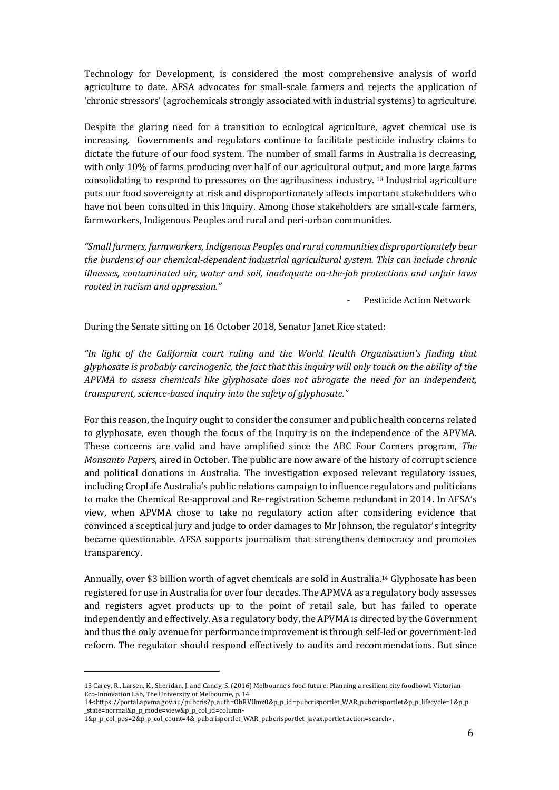Technology for Development, is considered the most comprehensive analysis of world agriculture to date. AFSA advocates for small-scale farmers and rejects the application of 'chronic stressors' (agrochemicals strongly associated with industrial systems) to agriculture.

Despite the glaring need for a transition to ecological agriculture, agvet chemical use is increasing. Governments and regulators continue to facilitate pesticide industry claims to dictate the future of our food system. The number of small farms in Australia is decreasing, with only 10% of farms producing over half of our agricultural output, and more large farms consolidating to respond to pressures on the agribusiness industry. <sup>13</sup> Industrial agriculture puts our food sovereignty at risk and disproportionately affects important stakeholders who have not been consulted in this Inquiry. Among those stakeholders are small-scale farmers, farmworkers, Indigenous Peoples and rural and peri-urban communities.

*"Small farmers, farmworkers, Indigenous Peoples and rural communities disproportionately bear the burdens of our chemical-dependent industrial agricultural system. This can include chronic illnesses, contaminated air, water and soil, inadequate on-the-job protections and unfair laws rooted in racism and oppression."*

Pesticide Action Network

During the Senate sitting on 16 October 2018, Senator Janet Rice stated:

"In light of the California court ruling and the World Health Organisation's finding that *glyphosate is probably carcinogenic, the fact that this inquiry will only touch on the ability of the APVMA to assess chemicals like glyphosate does not abrogate the need for an independent, transparent, science-based inquiry into the safety of glyphosate."* 

For this reason, the Inquiry ought to consider the consumer and public health concerns related to glyphosate, even though the focus of the Inquiry is on the independence of the APVMA. These concerns are valid and have amplified since the ABC Four Corners program, *The Monsanto Papers*, aired in October. The public are now aware of the history of corrupt science and political donations in Australia. The investigation exposed relevant regulatory issues, including CropLife Australia's public relations campaign to influence regulators and politicians to make the Chemical Re-approval and Re-registration Scheme redundant in 2014. In AFSA's view, when APVMA chose to take no regulatory action after considering evidence that convinced a sceptical jury and judge to order damages to Mr Johnson, the regulator's integrity became questionable. AFSA supports journalism that strengthens democracy and promotes transparency.

Annually, over \$3 billion worth of agvet chemicals are sold in Australia.<sup>14</sup> Glyphosate has been registered for use in Australia for over four decades. The APMVA as a regulatory body assesses and registers agvet products up to the point of retail sale, but has failed to operate independently and effectively. As a regulatory body, the APVMA is directed by the Government and thus the only avenue for performance improvement is through self-led or government-led reform. The regulator should respond effectively to audits and recommendations. But since

<sup>13</sup> Carey, R., Larsen, K., Sheridan, J. and Candy, S. (2016) Melbourne's food future: Planning a resilient city foodbowl. Victorian Eco-Innovation Lab, The University of Melbourne, p. 14

<sup>14&</sup>lt;https://portal.apvma.gov.au/pubcris?p\_auth=ObRVUmz0&p\_p\_id=pubcrisportlet\_WAR\_pubcrisportlet&p\_p\_lifecycle=1&p\_p \_state=normal&p\_p\_mode=view&p\_p\_col\_id=column-

<sup>1&</sup>amp;p\_p\_col\_pos=2&p\_p\_col\_count=4&\_pubcrisportlet\_WAR\_pubcrisportlet\_javax.portlet.action=search>.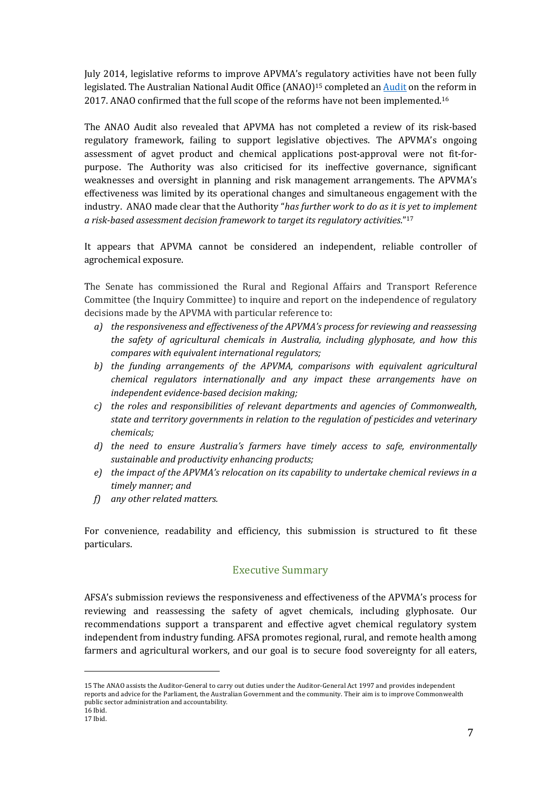July 2014, legislative reforms to improve APVMA's regulatory activities have not been fully legislated. The Australian National Audit Office (ANAO)<sup>15</sup> completed an **Audit** on the reform in 2017. ANAO confirmed that the full scope of the reforms have not been implemented.<sup>16</sup>

The ANAO Audit also revealed that APVMA has not completed a review of its risk-based regulatory framework, failing to support legislative objectives. The APVMA's ongoing assessment of agvet product and chemical applications post-approval were not fit-forpurpose. The Authority was also criticised for its ineffective governance, significant weaknesses and oversight in planning and risk management arrangements. The APVMA's effectiveness was limited by its operational changes and simultaneous engagement with the industry. ANAO made clear that the Authority "*has further work to do as it is yet to implement a risk-based assessment decision framework to target its regulatory activities*."17

It appears that APVMA cannot be considered an independent, reliable controller of agrochemical exposure.

The Senate has commissioned the Rural and Regional Affairs and Transport Reference Committee (the Inquiry Committee) to inquire and report on the independence of regulatory decisions made by the APVMA with particular reference to:

- *a*) the responsiveness and effectiveness of the APVMA's process for reviewing and reassessing *the safety of agricultural chemicals in Australia, including glyphosate, and how this compares with equivalent international regulators;*
- b) the funding arrangements of the APVMA, comparisons with equivalent agricultural *chemical regulators internationally and any impact these arrangements have on* independent evidence-based decision making;
- *c*) the roles and responsibilities of relevant departments and agencies of Commonwealth, state and territory governments in relation to the regulation of pesticides and veterinary *chemicals;*
- *d)* the need to ensure Australia's farmers have timely access to safe, environmentally sustainable and productivity enhancing products;
- *e*) the impact of the APVMA's relocation on its capability to undertake chemical reviews in a *timely manner; and*
- *f*) any other related matters.

 

For convenience, readability and efficiency, this submission is structured to fit these particulars.

## Executive Summary

AFSA's submission reviews the responsiveness and effectiveness of the APVMA's process for reviewing and reassessing the safety of agvet chemicals, including glyphosate. Our recommendations support a transparent and effective agvet chemical regulatory system independent from industry funding. AFSA promotes regional, rural, and remote health among farmers and agricultural workers, and our goal is to secure food sovereignty for all eaters,

<sup>15</sup> The ANAO assists the Auditor-General to carry out duties under the Auditor-General Act 1997 and provides independent reports and advice for the Parliament, the Australian Government and the community. Their aim is to improve Commonwealth public sector administration and accountability. 16 Ibid.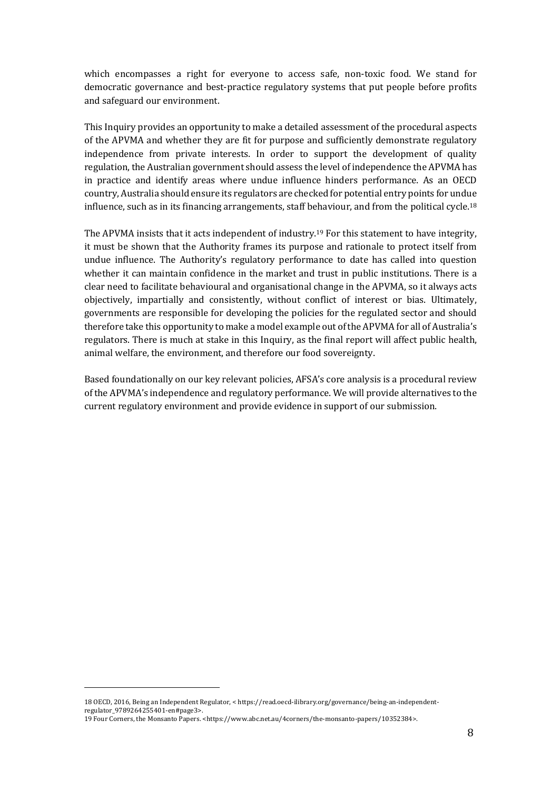which encompasses a right for everyone to access safe, non-toxic food. We stand for democratic governance and best-practice regulatory systems that put people before profits and safeguard our environment.

This Inquiry provides an opportunity to make a detailed assessment of the procedural aspects of the APVMA and whether they are fit for purpose and sufficiently demonstrate regulatory independence from private interests. In order to support the development of quality regulation, the Australian government should assess the level of independence the APVMA has in practice and identify areas where undue influence hinders performance. As an OECD country, Australia should ensure its regulators are checked for potential entry points for undue influence, such as in its financing arrangements, staff behaviour, and from the political cycle.<sup>18</sup>

The APVMA insists that it acts independent of industry.<sup>19</sup> For this statement to have integrity, it must be shown that the Authority frames its purpose and rationale to protect itself from undue influence. The Authority's regulatory performance to date has called into question whether it can maintain confidence in the market and trust in public institutions. There is a clear need to facilitate behavioural and organisational change in the APVMA, so it always acts objectively, impartially and consistently, without conflict of interest or bias. Ultimately, governments are responsible for developing the policies for the regulated sector and should therefore take this opportunity to make a model example out of the APVMA for all of Australia's regulators. There is much at stake in this Inquiry, as the final report will affect public health, animal welfare, the environment, and therefore our food sovereignty.

Based foundationally on our key relevant policies, AFSA's core analysis is a procedural review of the APVMA's independence and regulatory performance. We will provide alternatives to the current regulatory environment and provide evidence in support of our submission.

<sup>18</sup> OECD, 2016, Being an Independent Regulator, < https://read.oecd-ilibrary.org/governance/being-an-independentregulator\_9789264255401-en#page3>.

<sup>19</sup> Four Corners, the Monsanto Papers. <https://www.abc.net.au/4corners/the-monsanto-papers/10352384>.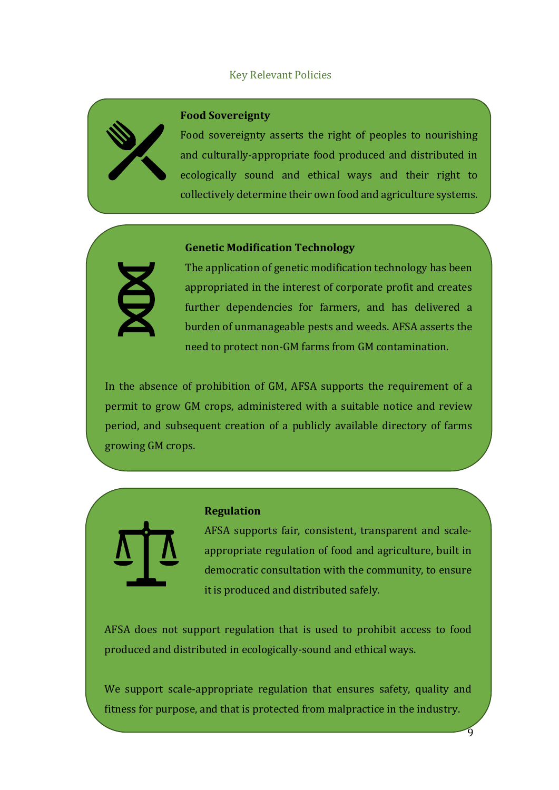## Key Relevant Policies



#### **Food Sovereignty**

Food sovereignty asserts the right of peoples to nourishing and culturally-appropriate food produced and distributed in ecologically sound and ethical ways and their right to collectively determine their own food and agriculture systems.

# **Genetic Modification Technology**



The application of genetic modification technology has been appropriated in the interest of corporate profit and creates further dependencies for farmers, and has delivered a burden of unmanageable pests and weeds. AFSA asserts the need to protect non-GM farms from GM contamination.

In the absence of prohibition of  $GM$ , AFSA supports the requirement of a permit to grow GM crops, administered with a suitable notice and review period, and subsequent creation of a publicly available directory of farms growing GM crops.



#### **Regulation**

.

AFSA supports fair, consistent, transparent and scaleappropriate regulation of food and agriculture, built in democratic consultation with the community, to ensure it is produced and distributed safely.

AFSA does not support regulation that is used to prohibit access to food produced and distributed in ecologically-sound and ethical ways.

We support scale-appropriate regulation that ensures safety, quality and fitness for purpose, and that is protected from malpractice in the industry.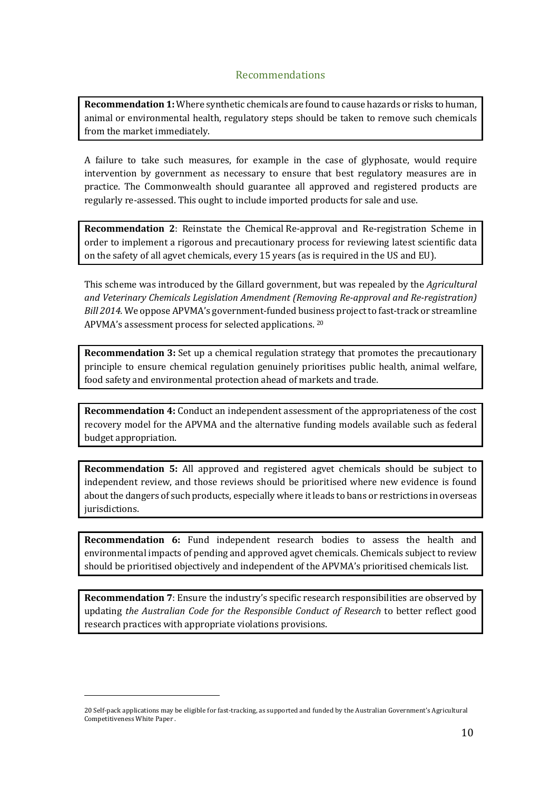# Recommendations

**Recommendation 1:** Where synthetic chemicals are found to cause hazards or risks to human, animal or environmental health, regulatory steps should be taken to remove such chemicals from the market immediately.

A failure to take such measures, for example in the case of glyphosate, would require intervention by government as necessary to ensure that best regulatory measures are in practice. The Commonwealth should guarantee all approved and registered products are regularly re-assessed. This ought to include imported products for sale and use.

**Recommendation 2:** Reinstate the Chemical Re-approval and Re-registration Scheme in order to implement a rigorous and precautionary process for reviewing latest scientific data on the safety of all agvet chemicals, every 15 years (as is required in the US and EU).

This scheme was introduced by the Gillard government, but was repealed by the *Agricultural and Veterinary Chemicals Legislation Amendment (Removing Re-approval and Re-registration) Bill* 2014. We oppose APVMA's government-funded business project to fast-track or streamline APVMA's assessment process for selected applications.  $20$ 

**Recommendation 3:** Set up a chemical regulation strategy that promotes the precautionary principle to ensure chemical regulation genuinely prioritises public health, animal welfare, food safety and environmental protection ahead of markets and trade.

**Recommendation 4:** Conduct an independent assessment of the appropriateness of the cost recovery model for the APVMA and the alternative funding models available such as federal budget appropriation.

**Recommendation 5:** All approved and registered agvet chemicals should be subject to independent review, and those reviews should be prioritised where new evidence is found about the dangers of such products, especially where it leads to bans or restrictions in overseas jurisdictions. 

**Recommendation 6:** Fund independent research bodies to assess the health and environmental impacts of pending and approved agvet chemicals. Chemicals subject to review should be prioritised objectively and independent of the APVMA's prioritised chemicals list.

**Recommendation** 7: Ensure the industry's specific research responsibilities are observed by updating *the Australian Code for the Responsible Conduct of Research* to better reflect good research practices with appropriate violations provisions.

<sup>20</sup> Self-pack applications may be eligible for fast-tracking, as supported and funded by the Australian Government's Agricultural Competitiveness White Paper .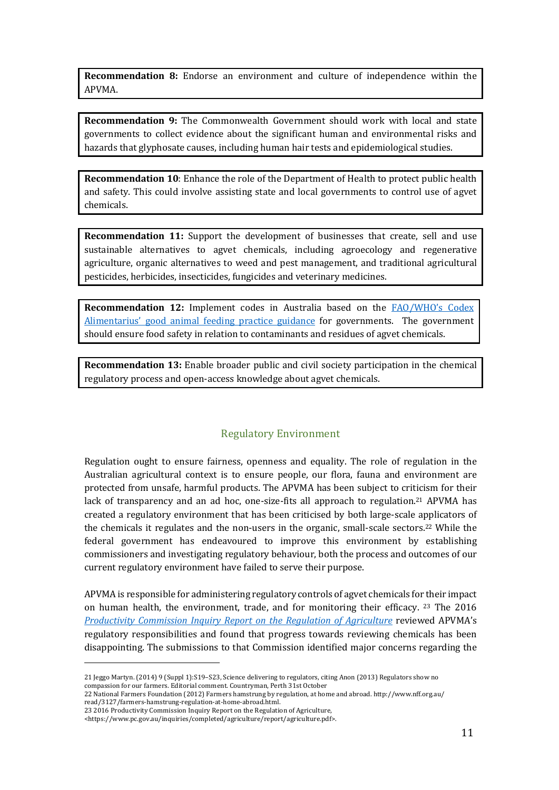**Recommendation 8:** Endorse an environment and culture of independence within the APVMA. 

**Recommendation 9:** The Commonwealth Government should work with local and state governments to collect evidence about the significant human and environmental risks and hazards that glyphosate causes, including human hair tests and epidemiological studies.

**Recommendation 10:** Enhance the role of the Department of Health to protect public health and safety. This could involve assisting state and local governments to control use of agvet chemicals.

**Recommendation 11:** Support the development of businesses that create, sell and use sustainable alternatives to agvet chemicals, including agroecology and regenerative agriculture, organic alternatives to weed and pest management, and traditional agricultural pesticides, herbicides, insecticides, fungicides and veterinary medicines.

**Recommendation 12:** Implement codes in Australia based on the FAO/WHO's Codex Alimentarius' good animal feeding practice guidance for governments. The government should ensure food safety in relation to contaminants and residues of agvet chemicals.

**Recommendation 13:** Enable broader public and civil society participation in the chemical regulatory process and open-access knowledge about agvet chemicals.

#### Regulatory Environment

Regulation ought to ensure fairness, openness and equality. The role of regulation in the Australian agricultural context is to ensure people, our flora, fauna and environment are protected from unsafe, harmful products. The APVMA has been subject to criticism for their lack of transparency and an ad hoc, one-size-fits all approach to regulation.<sup>21</sup> APVMA has created a regulatory environment that has been criticised by both large-scale applicators of the chemicals it regulates and the non-users in the organic, small-scale sectors.<sup>22</sup> While the federal government has endeavoured to improve this environment by establishing commissioners and investigating regulatory behaviour, both the process and outcomes of our current regulatory environment have failed to serve their purpose.

APVMA is responsible for administering regulatory controls of agvet chemicals for their impact on human health, the environment, trade, and for monitoring their efficacy. <sup>23</sup> The 2016 *Productivity Commission Inquiry Report on the Regulation of Agriculture* reviewed APVMA's regulatory responsibilities and found that progress towards reviewing chemicals has been disappointing. The submissions to that Commission identified major concerns regarding the

<sup>21</sup> Jeggo Martyn. (2014) 9 (Suppl 1):S19–S23, Science delivering to regulators, citing Anon (2013) Regulators show no compassion for our farmers. Editorial comment. Countryman, Perth 31st October

<sup>22</sup> National Farmers Foundation (2012) Farmers hamstrung by regulation, at home and abroad. http://www.nff.org.au/ read/3127/farmers-hamstrung-regulation-at-home-abroad.html. 

<sup>23 2016</sup> Productivity Commission Inquiry Report on the Regulation of Agriculture,

<sup>&</sup>lt;https://www.pc.gov.au/inquiries/completed/agriculture/report/agriculture.pdf>.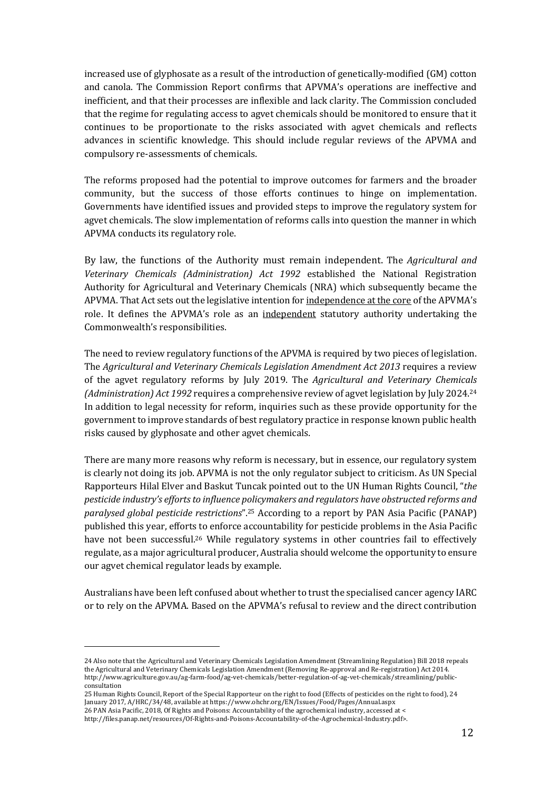increased use of glyphosate as a result of the introduction of genetically-modified (GM) cotton and canola. The Commission Report confirms that APVMA's operations are ineffective and inefficient, and that their processes are inflexible and lack clarity. The Commission concluded that the regime for regulating access to agvet chemicals should be monitored to ensure that it continues to be proportionate to the risks associated with agvet chemicals and reflects advances in scientific knowledge. This should include regular reviews of the APVMA and compulsory re-assessments of chemicals.

The reforms proposed had the potential to improve outcomes for farmers and the broader community, but the success of those efforts continues to hinge on implementation. Governments have identified issues and provided steps to improve the regulatory system for agvet chemicals. The slow implementation of reforms calls into question the manner in which APVMA conducts its regulatory role.

By law, the functions of the Authority must remain independent. The *Agricultural and Veterinary Chemicals (Administration) Act 1992* established the National Registration Authority for Agricultural and Veterinary Chemicals (NRA) which subsequently became the APVMA. That Act sets out the legislative intention for independence at the core of the APVMA's role. It defines the APVMA's role as an independent statutory authority undertaking the Commonwealth's responsibilities.

The need to review regulatory functions of the APVMA is required by two pieces of legislation. The *Agricultural and Veterinary Chemicals Legislation Amendment Act 2013* requires a review of the agvet regulatory reforms by July 2019. The *Agricultural and Veterinary Chemicals (Administration) Act 1992* requires a comprehensive review of agvet legislation by July 2024.<sup>24</sup> In addition to legal necessity for reform, inquiries such as these provide opportunity for the government to improve standards of best regulatory practice in response known public health risks caused by glyphosate and other agvet chemicals.

There are many more reasons why reform is necessary, but in essence, our regulatory system is clearly not doing its job. APVMA is not the only regulator subject to criticism. As UN Special Rapporteurs Hilal Elver and Baskut Tuncak pointed out to the UN Human Rights Council, "the pesticide industry's efforts to influence policymakers and regulators have obstructed reforms and *paralysed global pesticide restrictions*".<sup>25</sup> According to a report by PAN Asia Pacific (PANAP) published this year, efforts to enforce accountability for pesticide problems in the Asia Pacific have not been successful.<sup>26</sup> While regulatory systems in other countries fail to effectively regulate, as a major agricultural producer, Australia should welcome the opportunity to ensure our agvet chemical regulator leads by example.

Australians have been left confused about whether to trust the specialised cancer agency IARC or to rely on the APVMA. Based on the APVMA's refusal to review and the direct contribution

<sup>24</sup> Also note that the Agricultural and Veterinary Chemicals Legislation Amendment (Streamlining Regulation) Bill 2018 repeals the Agricultural and Veterinary Chemicals Legislation Amendment (Removing Re-approval and Re-registration) Act 2014. http://www.agriculture.gov.au/ag-farm-food/ag-vet-chemicals/better-regulation-of-ag-vet-chemicals/streamlining/publicconsultation

<sup>25</sup> Human Rights Council, Report of the Special Rapporteur on the right to food (Effects of pesticides on the right to food), 24 January 2017, A/HRC/34/48, available at https://www.ohchr.org/EN/Issues/Food/Pages/Annual.aspx

<sup>26</sup> PAN Asia Pacific, 2018, Of Rights and Poisons: Accountability of the agrochemical industry, accessed at <

http://files.panap.net/resources/Of-Rights-and-Poisons-Accountability-of-the-Agrochemical-Industry.pdf>.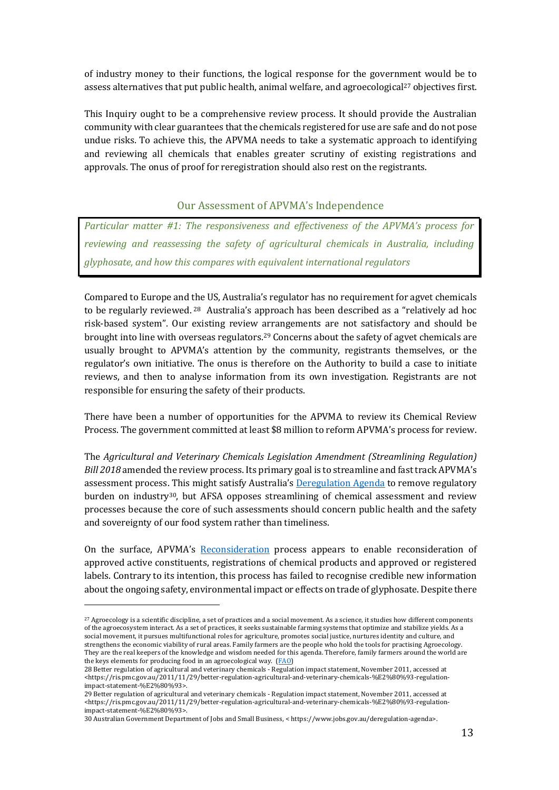of industry money to their functions, the logical response for the government would be to assess alternatives that put public health, animal welfare, and agroecological<sup>27</sup> objectives first.

This Inquiry ought to be a comprehensive review process. It should provide the Australian community with clear guarantees that the chemicals registered for use are safe and do not pose undue risks. To achieve this, the APVMA needs to take a systematic approach to identifying and reviewing all chemicals that enables greater scrutiny of existing registrations and approvals. The onus of proof for reregistration should also rest on the registrants.

### Our Assessment of APVMA's Independence

*Particular matter #1: The responsiveness and effectiveness of the APVMA's process for reviewing and reassessing the safety of agricultural chemicals in Australia, including glyphosate, and how this compares with equivalent international regulators*

Compared to Europe and the US, Australia's regulator has no requirement for agvet chemicals to be regularly reviewed. <sup>28</sup> Australia's approach has been described as a "relatively ad hoc risk-based system". Our existing review arrangements are not satisfactory and should be brought into line with overseas regulators.<sup>29</sup> Concerns about the safety of agvet chemicals are usually brought to APVMA's attention by the community, registrants themselves, or the regulator's own initiative. The onus is therefore on the Authority to build a case to initiate reviews, and then to analyse information from its own investigation. Registrants are not responsible for ensuring the safety of their products.

There have been a number of opportunities for the APVMA to review its Chemical Review Process. The government committed at least \$8 million to reform APVMA's process for review.

The *Agricultural and Veterinary Chemicals Legislation Amendment (Streamlining Regulation) Bill* 2018 amended the review process. Its primary goal is to streamline and fast track APVMA's assessment process. This might satisfy Australia's Deregulation Agenda to remove regulatory burden on industry<sup>30</sup>, but AFSA opposes streamlining of chemical assessment and review processes because the core of such assessments should concern public health and the safety and sovereignty of our food system rather than timeliness.

On the surface, APVMA's Reconsideration process appears to enable reconsideration of approved active constituents, registrations of chemical products and approved or registered labels. Contrary to its intention, this process has failed to recognise credible new information about the ongoing safety, environmental impact or effects on trade of glyphosate. Despite there

<sup>&</sup>lt;sup>27</sup> Agroecology is a scientific discipline, a set of practices and a social movement. As a science, it studies how different components of the agroecosystem interact. As a set of practices, it seeks sustainable farming systems that optimize and stabilize yields. As a social movement, it pursues multifunctional roles for agriculture, promotes social justice, nurtures identity and culture, and strengthens the economic viability of rural areas. Family farmers are the people who hold the tools for practising Agroecology. They are the real keepers of the knowledge and wisdom needed for this agenda. Therefore, family farmers around the world are the keys elements for producing food in an agroecological way.  $(FAO)$ 

<sup>28</sup> Better regulation of agricultural and veterinary chemicals - Regulation impact statement, November 2011, accessed at <https://ris.pmc.gov.au/2011/11/29/better-regulation-agricultural-and-veterinary-chemicals-%E2%80%93-regulationimpact-statement-%E2%80%93>. 

<sup>29</sup> Better regulation of agricultural and veterinary chemicals - Regulation impact statement, November 2011, accessed at <https://ris.pmc.gov.au/2011/11/29/better-regulation-agricultural-and-veterinary-chemicals-%E2%80%93-regulationimpact-statement-%E2%80%93>. 

<sup>30</sup> Australian Government Department of Jobs and Small Business, < https://www.jobs.gov.au/deregulation-agenda>.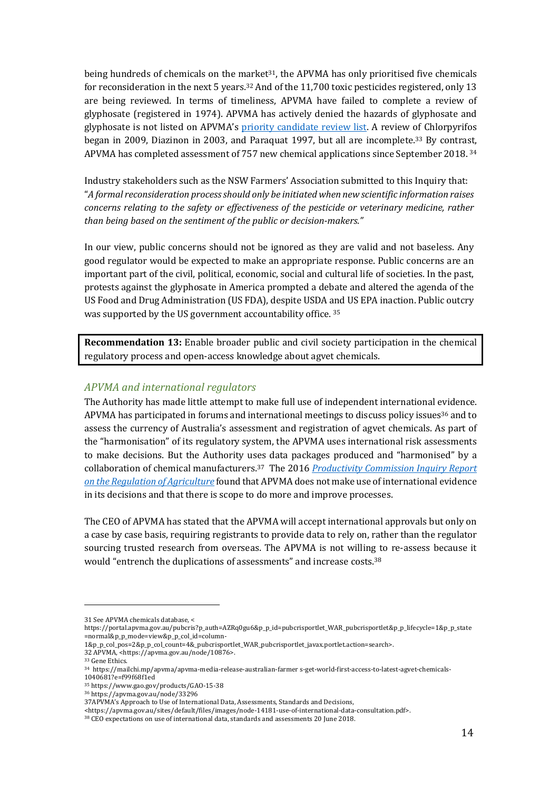being hundreds of chemicals on the market<sup>31</sup>, the APVMA has only prioritised five chemicals for reconsideration in the next 5 years.<sup>32</sup> And of the 11,700 toxic pesticides registered, only 13 are being reviewed. In terms of timeliness, APVMA have failed to complete a review of glyphosate (registered in 1974). APVMA has actively denied the hazards of glyphosate and glyphosate is not listed on APVMA's priority candidate review list. A review of Chlorpyrifos began in 2009, Diazinon in 2003, and Paraquat 1997, but all are incomplete.<sup>33</sup> By contrast, APVMA has completed assessment of 757 new chemical applications since September 2018.  $34$ 

Industry stakeholders such as the NSW Farmers' Association submitted to this Inquiry that: "A formal reconsideration process should only be initiated when new scientific information raises *concerns relating to the safety or effectiveness of the pesticide or veterinary medicine, rather* than being based on the sentiment of the public or decision-makers."

In our view, public concerns should not be ignored as they are valid and not baseless. Any good regulator would be expected to make an appropriate response. Public concerns are an important part of the civil, political, economic, social and cultural life of societies. In the past, protests against the glyphosate in America prompted a debate and altered the agenda of the US Food and Drug Administration (US FDA), despite USDA and US EPA inaction. Public outcry was supported by the US government accountability office.  $35$ 

**Recommendation 13:** Enable broader public and civil society participation in the chemical regulatory process and open-access knowledge about agvet chemicals.

### *APVMA and international regulators*

The Authority has made little attempt to make full use of independent international evidence. APVMA has participated in forums and international meetings to discuss policy issues<sup>36</sup> and to assess the currency of Australia's assessment and registration of agvet chemicals. As part of the "harmonisation" of its regulatory system, the APVMA uses international risk assessments to make decisions. But the Authority uses data packages produced and "harmonised" by a collaboration of chemical manufacturers.<sup>37</sup> The 2016 *Productivity Commission Inquiry Report on the Requlation of Agriculture* found that APVMA does not make use of international evidence in its decisions and that there is scope to do more and improve processes.

The CEO of APVMA has stated that the APVMA will accept international approvals but only on a case by case basis, requiring registrants to provide data to rely on, rather than the regulator sourcing trusted research from overseas. The APVMA is not willing to re-assess because it would "entrench the duplications of assessments" and increase costs.<sup>38</sup>

 

1&p\_p\_col\_pos=2&p\_p\_col\_count=4&\_pubcrisportlet\_WAR\_pubcrisportlet\_javax.portlet.action=search>.

<sup>31</sup> See APVMA chemicals database. <

https://portal.apvma.gov.au/pubcris?p\_auth=AZRq0gu6&p\_p\_id=pubcrisportlet\_WAR\_pubcrisportlet&p\_p\_lifecycle=1&p\_p\_state =normal&p\_p\_mode=view&p\_p\_col\_id=column-

<sup>32</sup> APVMA, <https://apvma.gov.au/node/10876>.

<sup>&</sup>lt;sup>33</sup> Gene Ethics.

<sup>34</sup> https://mailchi.mp/apvma/apvma-media-release-australian-farmer s-get-world-first-access-to-latest-agvet-chemicals-1040681?e=f99f68f1ed

<sup>35</sup> https://www.gao.gov/products/GAO-15-38

<sup>36</sup> https://apvma.gov.au/node/33296

<sup>37</sup>APVMA's Approach to Use of International Data, Assessments, Standards and Decisions,

<sup>&</sup>lt;https://apvma.gov.au/sites/default/files/images/node-14181-use-of-international-data-consultation.pdf>.

<sup>&</sup>lt;sup>38</sup> CEO expectations on use of international data, standards and assessments 20 June 2018.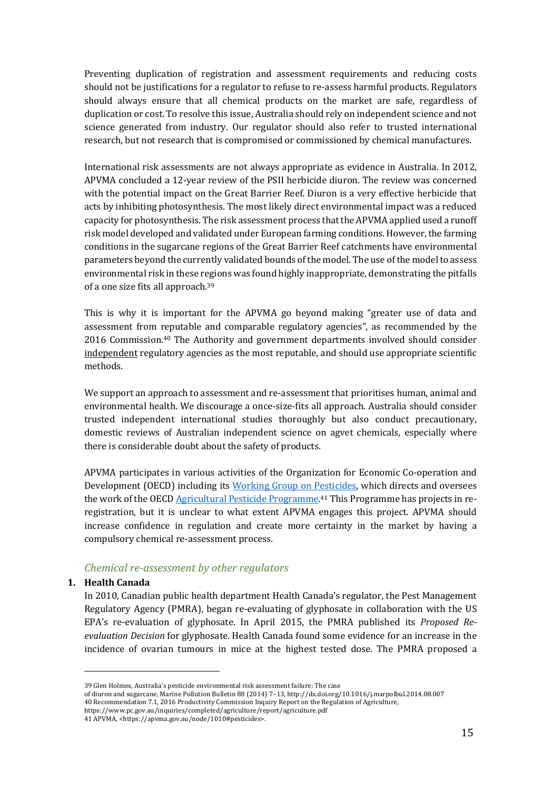Preventing duplication of registration and assessment requirements and reducing costs should not be justifications for a regulator to refuse to re-assess harmful products. Regulators should always ensure that all chemical products on the market are safe, regardless of duplication or cost. To resolve this issue, Australia should rely on independent science and not science generated from industry. Our regulator should also refer to trusted international research, but not research that is compromised or commissioned by chemical manufactures.

International risk assessments are not always appropriate as evidence in Australia. In 2012, APVMA concluded a 12-year review of the PSII herbicide diuron. The review was concerned with the potential impact on the Great Barrier Reef. Diuron is a very effective herbicide that acts by inhibiting photosynthesis. The most likely direct environmental impact was a reduced capacity for photosynthesis. The risk assessment process that the APVMA applied used a runoff risk model developed and validated under European farming conditions. However, the farming conditions in the sugarcane regions of the Great Barrier Reef catchments have environmental parameters beyond the currently validated bounds of the model. The use of the model to assess environmental risk in these regions was found highly inappropriate, demonstrating the pitfalls of a one size fits all approach.<sup>39</sup>

This is why it is important for the APVMA go beyond making "greater use of data and assessment from reputable and comparable regulatory agencies", as recommended by the 2016 Commission.<sup>40</sup> The Authority and government departments involved should consider independent regulatory agencies as the most reputable, and should use appropriate scientific methods. 

We support an approach to assessment and re-assessment that prioritises human, animal and environmental health. We discourage a once-size-fits all approach. Australia should consider trusted independent international studies thoroughly but also conduct precautionary, domestic reviews of Australian independent science on agvet chemicals, especially where there is considerable doubt about the safety of products.

APVMA participates in various activities of the Organization for Economic Co-operation and Development (OECD) including its Working Group on Pesticides, which directs and oversees the work of the OECD Agricultural Pesticide Programme.<sup>41</sup> This Programme has projects in reregistration, but it is unclear to what extent APVMA engages this project. APVMA should increase confidence in regulation and create more certainty in the market by having a compulsory chemical re-assessment process.

## *Chemical re-assessment by other regulators*

## **1. Health Canada**

In 2010, Canadian public health department Health Canada's regulator, the Pest Management Regulatory Agency (PMRA), began re-evaluating of glyphosate in collaboration with the US EPA's re-evaluation of glyphosate. In April 2015, the PMRA published its *Proposed Reevaluation Decision* for glyphosate. Health Canada found some evidence for an increase in the incidence of ovarian tumours in mice at the highest tested dose. The PMRA proposed a

https://www.pc.gov.au/inquiries/completed/agriculture/report/agriculture.pdf

<sup>39</sup> Glen Holmes, Australia's pesticide environmental risk assessment failure: The case

of diuron and sugarcane, Marine Pollution Bulletin 88 (2014) 7-13, http://dx.doi.org/10.1016/j.marpolbul.2014.08.007 40 Recommendation 7.1, 2016 Productivity Commission Inquiry Report on the Regulation of Agriculture,

<sup>41</sup> APVMA, <https://apvma.gov.au/node/1010#pesticides>.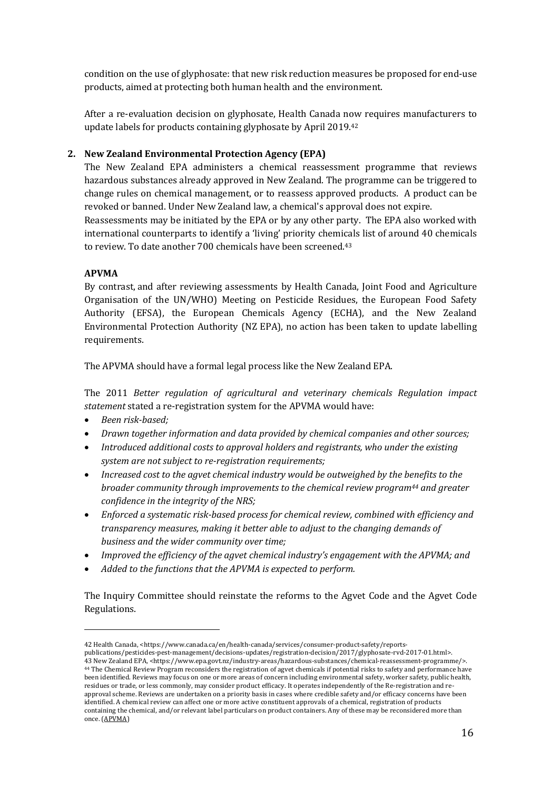condition on the use of glyphosate: that new risk reduction measures be proposed for end-use products, aimed at protecting both human health and the environment.

After a re-evaluation decision on glyphosate, Health Canada now requires manufacturers to update labels for products containing glyphosate by April 2019.<sup>42</sup>

## **2. New Zealand Environmental Protection Agency (EPA)**

The New Zealand EPA administers a chemical reassessment programme that reviews hazardous substances already approved in New Zealand. The programme can be triggered to change rules on chemical management, or to reassess approved products. A product can be revoked or banned. Under New Zealand law, a chemical's approval does not expire. Reassessments may be initiated by the EPA or by any other party. The EPA also worked with

international counterparts to identify a 'living' priority chemicals list of around 40 chemicals to review. To date another 700 chemicals have been screened.<sup>43</sup>

### **APVMA**

By contrast, and after reviewing assessments by Health Canada, Joint Food and Agriculture Organisation of the UN/WHO) Meeting on Pesticide Residues, the European Food Safety Authority (EFSA), the European Chemicals Agency (ECHA), and the New Zealand Environmental Protection Authority (NZ EPA), no action has been taken to update labelling requirements. 

The APVMA should have a formal legal process like the New Zealand EPA.

The 2011 Better regulation of agricultural and veterinary chemicals Regulation impact statement stated a re-registration system for the APVMA would have:

• *Been risk-based;*

 

- *Drawn together information and data provided by chemical companies and other sources;*
- *Introduced additional costs to approval holders and registrants, who under the existing system are not subject to re-registration requirements;*
- *Increased cost to the agvet chemical industry would be outweighed by the benefits to the broader community through improvements to the chemical review program44 and greater confidence in the integrity of the NRS;*
- *Enforced a systematic risk-based process for chemical review, combined with efficiency and transparency measures, making it better able to adjust to the changing demands of business and the wider community over time;*
- *Improved the efficiency of the agvet chemical industry's engagement with the APVMA; and*
- *Added to the functions that the APVMA is expected to perform.*

The Inquiry Committee should reinstate the reforms to the Agvet Code and the Agvet Code Regulations. 

<sup>42</sup> Health Canada, <https://www.canada.ca/en/health-canada/services/consumer-product-safety/reports-

publications/pesticides-pest-management/decisions-updates/registration-decision/2017/glyphosate-rvd-2017-01.html>. 43 New Zealand EPA, <https://www.epa.govt.nz/industry-areas/hazardous-substances/chemical-reassessment-programme/>. <sup>44</sup> The Chemical Review Program reconsiders the registration of agvet chemicals if potential risks to safety and performance have been identified. Reviews may focus on one or more areas of concern including environmental safety, worker safety, public health, residues or trade, or less commonly, may consider product efficacy. It operates independently of the Re-registration and reapproval scheme. Reviews are undertaken on a priority basis in cases where credible safety and/or efficacy concerns have been identified. A chemical review can affect one or more active constituent approvals of a chemical, registration of products containing the chemical, and/or relevant label particulars on product containers. Any of these may be reconsidered more than once. (APVMA)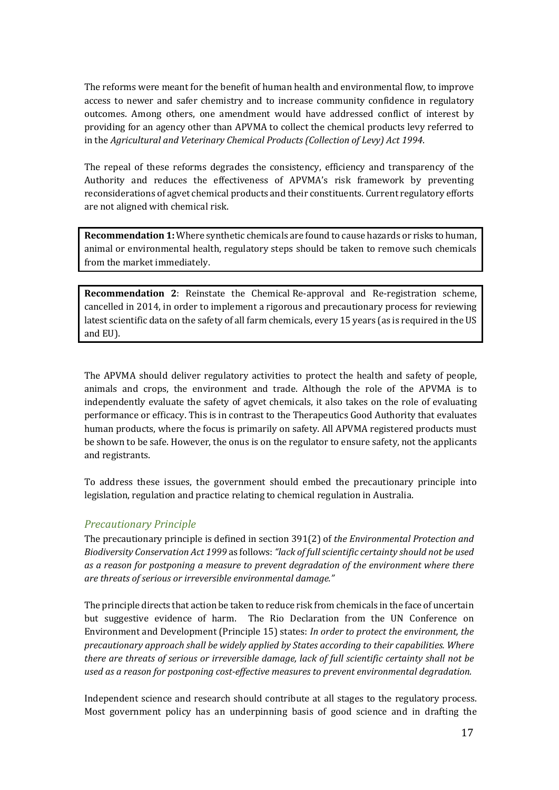The reforms were meant for the benefit of human health and environmental flow, to improve access to newer and safer chemistry and to increase community confidence in regulatory outcomes. Among others, one amendment would have addressed conflict of interest by providing for an agency other than APVMA to collect the chemical products levy referred to in the *Agricultural and Veterinary Chemical Products (Collection of Levy) Act 1994.* 

The repeal of these reforms degrades the consistency, efficiency and transparency of the Authority and reduces the effectiveness of APVMA's risk framework by preventing reconsiderations of agvet chemical products and their constituents. Current regulatory efforts are not aligned with chemical risk.

**Recommendation 1:** Where synthetic chemicals are found to cause hazards or risks to human, animal or environmental health, regulatory steps should be taken to remove such chemicals from the market immediately.

**Recommendation 2:** Reinstate the Chemical Re-approval and Re-registration scheme, cancelled in 2014, in order to implement a rigorous and precautionary process for reviewing latest scientific data on the safety of all farm chemicals, every 15 years (as is required in the US and EU).

The APVMA should deliver regulatory activities to protect the health and safety of people. animals and crops, the environment and trade. Although the role of the APVMA is to independently evaluate the safety of agvet chemicals, it also takes on the role of evaluating performance or efficacy. This is in contrast to the Therapeutics Good Authority that evaluates human products, where the focus is primarily on safety. All APVMA registered products must be shown to be safe. However, the onus is on the regulator to ensure safety, not the applicants and registrants.

To address these issues, the government should embed the precautionary principle into legislation, regulation and practice relating to chemical regulation in Australia.

#### *Precautionary Principle*

The precautionary principle is defined in section 391(2) of *the Environmental Protection and Biodiversity Conservation Act* 1999 as follows: "lack of full scientific certainty should not be used as a reason for postponing a measure to prevent degradation of the environment where there are threats of serious or irreversible environmental damage."

The principle directs that action be taken to reduce risk from chemicals in the face of uncertain but suggestive evidence of harm. The Rio Declaration from the UN Conference on Environment and Development (Principle 15) states: *In order to protect the environment, the precautionary approach shall be widely applied by States according to their capabilities. Where there are threats of serious or irreversible damage, lack of full scientific certainty shall not be* used as a reason for postponing cost-effective measures to prevent environmental degradation.

Independent science and research should contribute at all stages to the regulatory process. Most government policy has an underpinning basis of good science and in drafting the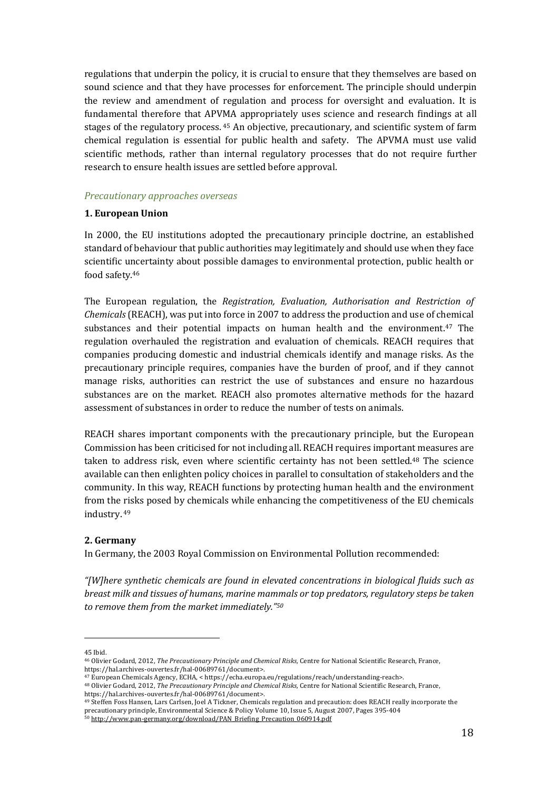regulations that underpin the policy, it is crucial to ensure that they themselves are based on sound science and that they have processes for enforcement. The principle should underpin the review and amendment of regulation and process for oversight and evaluation. It is fundamental therefore that APVMA appropriately uses science and research findings at all stages of the regulatory process.  $45$  An objective, precautionary, and scientific system of farm chemical regulation is essential for public health and safety. The APVMA must use valid scientific methods, rather than internal regulatory processes that do not require further research to ensure health issues are settled before approval.

#### *Precautionary approaches overseas*

#### **1. European Union**

In 2000, the EU institutions adopted the precautionary principle doctrine, an established standard of behaviour that public authorities may legitimately and should use when they face scientific uncertainty about possible damages to environmental protection, public health or food safety.<sup>46</sup>

The European regulation, the *Registration, Evaluation, Authorisation and Restriction of Chemicals* (REACH), was put into force in 2007 to address the production and use of chemical substances and their potential impacts on human health and the environment.<sup>47</sup> The regulation overhauled the registration and evaluation of chemicals. REACH requires that companies producing domestic and industrial chemicals identify and manage risks. As the precautionary principle requires, companies have the burden of proof, and if they cannot manage risks, authorities can restrict the use of substances and ensure no hazardous substances are on the market. REACH also promotes alternative methods for the hazard assessment of substances in order to reduce the number of tests on animals.

REACH shares important components with the precautionary principle, but the European Commission has been criticised for not including all. REACH requires important measures are taken to address risk, even where scientific certainty has not been settled.<sup>48</sup> The science available can then enlighten policy choices in parallel to consultation of stakeholders and the community. In this way, REACH functions by protecting human health and the environment from the risks posed by chemicals while enhancing the competitiveness of the EU chemicals industry. 49 

#### **2. Germany**

In Germany, the 2003 Royal Commission on Environmental Pollution recommended:

*"[W]here synthetic chemicals are found in elevated concentrations in biological fluids such as breast milk and tissues of humans, marine mammals or top predators, regulatory steps be taken* to remove them from the market immediately."50

<sup>45</sup> Ibid.

<sup>&</sup>lt;sup>46</sup> Olivier Godard, 2012, *The Precautionary Principle and Chemical Risks*, Centre for National Scientific Research, France, https://hal.archives-ouvertes.fr/hal-00689761/document>.

<sup>47</sup> European Chemicals Agency, ECHA, < https://echa.europa.eu/regulations/reach/understanding-reach>.

<sup>48</sup> Olivier Godard, 2012, *The Precautionary Principle and Chemical Risks*, Centre for National Scientific Research, France, https://hal.archives-ouvertes.fr/hal-00689761/document>.

<sup>&</sup>lt;sup>49</sup> Steffen Foss Hansen, Lars Carlsen, Joel A Tickner, Chemicals regulation and precaution: does REACH really incorporate the precautionary principle, Environmental Science & Policy Volume 10, Issue 5, August 2007, Pages 395-404

<sup>&</sup>lt;sup>50</sup> http://www.pan-germany.org/download/PAN\_Briefing\_Precaution\_060914.pdf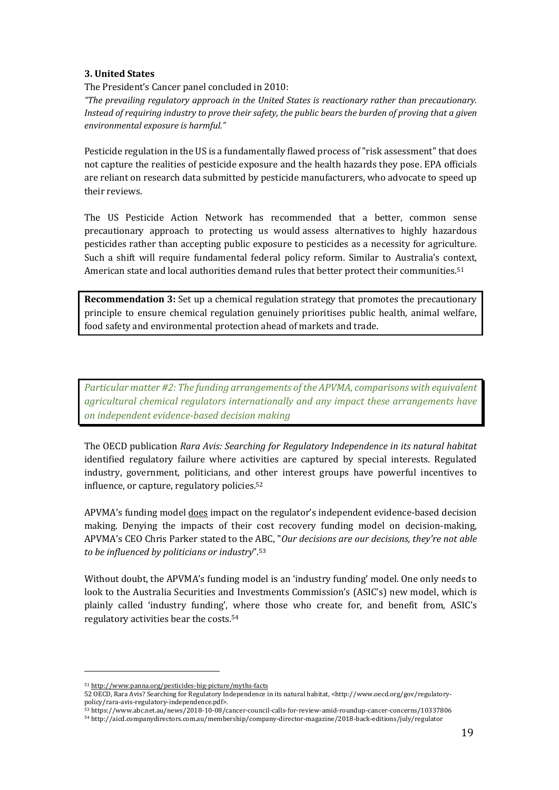#### **3. United States**

The President's Cancer panel concluded in 2010:

*"The prevailing regulatory approach in the United States is reactionary rather than precautionary. Instead of requiring industry to prove their safety, the public bears the burden of proving that a given environmental exposure is harmful."*

Pesticide regulation in the US is a fundamentally flawed process of "risk assessment" that does not capture the realities of pesticide exposure and the health hazards they pose. EPA officials are reliant on research data submitted by pesticide manufacturers, who advocate to speed up their reviews.

The US Pesticide Action Network has recommended that a better, common sense precautionary approach to protecting us would assess alternatives to highly hazardous pesticides rather than accepting public exposure to pesticides as a necessity for agriculture. Such a shift will require fundamental federal policy reform. Similar to Australia's context, American state and local authorities demand rules that better protect their communities.<sup>51</sup>

**Recommendation 3:** Set up a chemical regulation strategy that promotes the precautionary principle to ensure chemical regulation genuinely prioritises public health, animal welfare, food safety and environmental protection ahead of markets and trade.

*Particular matter #2: The funding arrangements of the APVMA, comparisons with equivalent* agricultural chemical regulators internationally and any impact these arrangements have *on independent evidence-based decision making*

The OECD publication *Rara Avis: Searching for Regulatory Independence in its natural habitat* identified regulatory failure where activities are captured by special interests. Regulated industry, government, politicians, and other interest groups have powerful incentives to influence, or capture, regulatory policies.<sup>52</sup>

APVMA's funding model does impact on the regulator's independent evidence-based decision making. Denying the impacts of their cost recovery funding model on decision-making, APVMA's CEO Chris Parker stated to the ABC, "Our decisions are our decisions, they're not able *to be influenced by politicians or industry*".<sup>53</sup>

Without doubt, the APVMA's funding model is an 'industry funding' model. One only needs to look to the Australia Securities and Investments Commission's (ASIC's) new model, which is plainly called 'industry funding', where those who create for, and benefit from, ASIC's regulatory activities bear the costs.<sup>54</sup>

<sup>51</sup> http://www.panna.org/pesticides-big-picture/myths-facts

<sup>52</sup> OECD, Rara Avis? Searching for Regulatory Independence in its natural habitat, <http://www.oecd.org/gov/regulatorypolicy/rara-avis-regulatory-independence.pdf>.

<sup>53</sup> https://www.abc.net.au/news/2018-10-08/cancer-council-calls-for-review-amid-roundup-cancer-concerns/10337806

<sup>54</sup> http://aicd.companydirectors.com.au/membership/company-director-magazine/2018-back-editions/july/regulator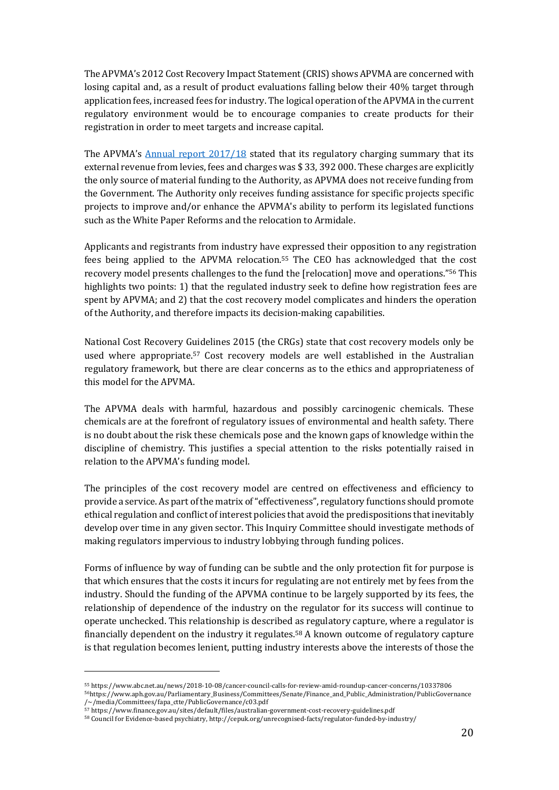The APVMA's 2012 Cost Recovery Impact Statement (CRIS) shows APVMA are concerned with losing capital and, as a result of product evaluations falling below their 40% target through application fees, increased fees for industry. The logical operation of the APVMA in the current regulatory environment would be to encourage companies to create products for their registration in order to meet targets and increase capital.

The APVMA's Annual report  $2017/18$  stated that its regulatory charging summary that its external revenue from levies, fees and charges was \$33, 392 000. These charges are explicitly the only source of material funding to the Authority, as APVMA does not receive funding from the Government. The Authority only receives funding assistance for specific projects specific projects to improve and/or enhance the APVMA's ability to perform its legislated functions such as the White Paper Reforms and the relocation to Armidale.

Applicants and registrants from industry have expressed their opposition to any registration fees being applied to the APVMA relocation.<sup>55</sup> The CEO has acknowledged that the cost recovery model presents challenges to the fund the [relocation] move and operations."<sup>56</sup> This highlights two points: 1) that the regulated industry seek to define how registration fees are spent by APVMA; and 2) that the cost recovery model complicates and hinders the operation of the Authority, and therefore impacts its decision-making capabilities.

National Cost Recovery Guidelines 2015 (the CRGs) state that cost recovery models only be used where appropriate.<sup>57</sup> Cost recovery models are well established in the Australian regulatory framework, but there are clear concerns as to the ethics and appropriateness of this model for the APVMA.

The APVMA deals with harmful, hazardous and possibly carcinogenic chemicals. These chemicals are at the forefront of regulatory issues of environmental and health safety. There is no doubt about the risk these chemicals pose and the known gaps of knowledge within the discipline of chemistry. This justifies a special attention to the risks potentially raised in relation to the APVMA's funding model.

The principles of the cost recovery model are centred on effectiveness and efficiency to provide a service. As part of the matrix of "effectiveness", regulatory functions should promote ethical regulation and conflict of interest policies that avoid the predispositions that inevitably develop over time in any given sector. This Inquiry Committee should investigate methods of making regulators impervious to industry lobbying through funding polices.

Forms of influence by way of funding can be subtle and the only protection fit for purpose is that which ensures that the costs it incurs for regulating are not entirely met by fees from the industry. Should the funding of the APVMA continue to be largely supported by its fees, the relationship of dependence of the industry on the regulator for its success will continue to operate unchecked. This relationship is described as regulatory capture, where a regulator is financially dependent on the industry it regulates.<sup>58</sup> A known outcome of regulatory capture is that regulation becomes lenient, putting industry interests above the interests of those the

<sup>55</sup> https://www.abc.net.au/news/2018-10-08/cancer-council-calls-for-review-amid-roundup-cancer-concerns/10337806

<sup>56</sup>https://www.aph.gov.au/Parliamentary\_Business/Committees/Senate/Finance\_and\_Public\_Administration/PublicGovernance /~/media/Committees/fapa\_ctte/PublicGovernance/c03.pdf

<sup>57</sup> https://www.finance.gov.au/sites/default/files/australian-government-cost-recovery-guidelines.pdf

<sup>58</sup> Council for Evidence-based psychiatry, http://cepuk.org/unrecognised-facts/regulator-funded-by-industry/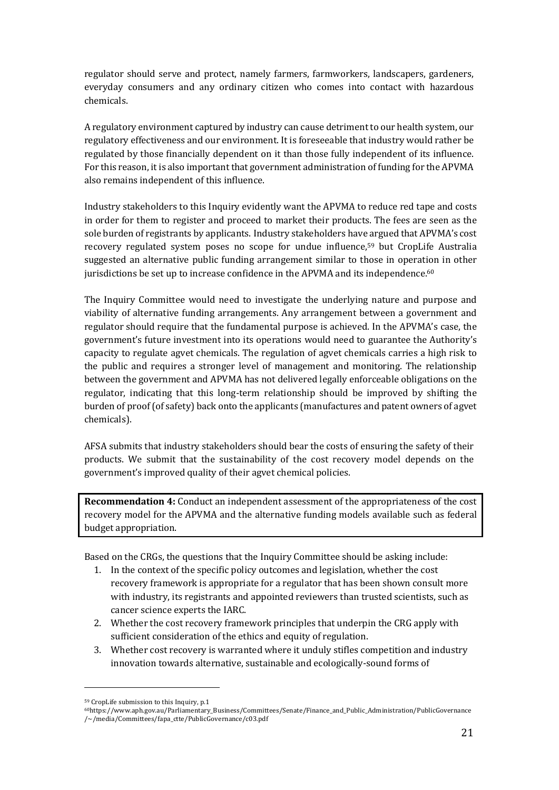regulator should serve and protect, namely farmers, farmworkers, landscapers, gardeners, everyday consumers and any ordinary citizen who comes into contact with hazardous chemicals.

A regulatory environment captured by industry can cause detriment to our health system, our regulatory effectiveness and our environment. It is foreseeable that industry would rather be regulated by those financially dependent on it than those fully independent of its influence. For this reason, it is also important that government administration of funding for the APVMA also remains independent of this influence.

Industry stakeholders to this Inquiry evidently want the APVMA to reduce red tape and costs in order for them to register and proceed to market their products. The fees are seen as the sole burden of registrants by applicants. Industry stakeholders have argued that APVMA's cost recovery regulated system poses no scope for undue influence, $59$  but CropLife Australia suggested an alternative public funding arrangement similar to those in operation in other jurisdictions be set up to increase confidence in the APVMA and its independence.<sup>60</sup>

The Inquiry Committee would need to investigate the underlying nature and purpose and viability of alternative funding arrangements. Any arrangement between a government and regulator should require that the fundamental purpose is achieved. In the APVMA's case, the government's future investment into its operations would need to guarantee the Authority's capacity to regulate agvet chemicals. The regulation of agvet chemicals carries a high risk to the public and requires a stronger level of management and monitoring. The relationship between the government and APVMA has not delivered legally enforceable obligations on the regulator, indicating that this long-term relationship should be improved by shifting the burden of proof (of safety) back onto the applicants (manufactures and patent owners of agvet chemicals). 

AFSA submits that industry stakeholders should bear the costs of ensuring the safety of their products. We submit that the sustainability of the cost recovery model depends on the government's improved quality of their agvet chemical policies.

**Recommendation 4:** Conduct an independent assessment of the appropriateness of the cost recovery model for the APVMA and the alternative funding models available such as federal budget appropriation.

Based on the CRGs, the questions that the Inquiry Committee should be asking include:

- 1. In the context of the specific policy outcomes and legislation, whether the cost recovery framework is appropriate for a regulator that has been shown consult more with industry, its registrants and appointed reviewers than trusted scientists, such as cancer science experts the IARC.
- 2. Whether the cost recovery framework principles that underpin the CRG apply with sufficient consideration of the ethics and equity of regulation.
- 3. Whether cost recovery is warranted where it unduly stifles competition and industry innovation towards alternative, sustainable and ecologically-sound forms of

 59 CropLife submission to this Inquiry, p.1

<sup>60</sup>https://www.aph.gov.au/Parliamentary\_Business/Committees/Senate/Finance\_and\_Public\_Administration/PublicGovernance /~/media/Committees/fapa\_ctte/PublicGovernance/c03.pdf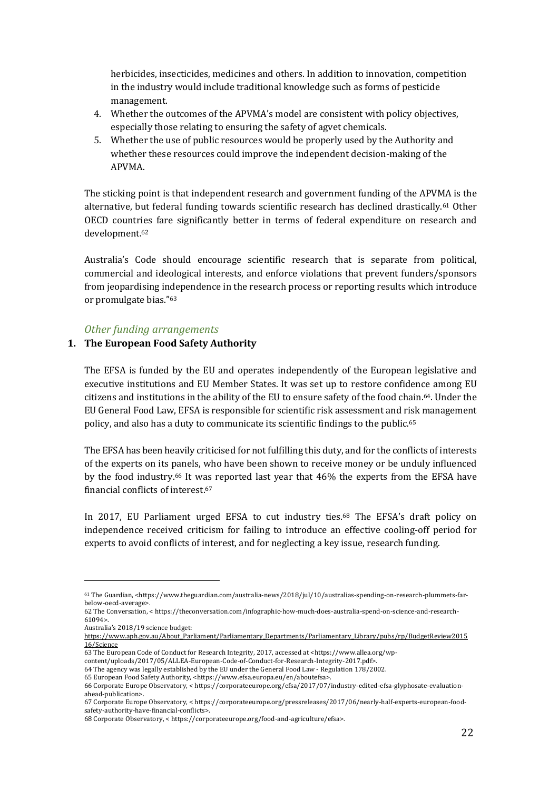herbicides, insecticides, medicines and others. In addition to innovation, competition in the industry would include traditional knowledge such as forms of pesticide management.

- 4. Whether the outcomes of the APVMA's model are consistent with policy objectives, especially those relating to ensuring the safety of agvet chemicals.
- 5. Whether the use of public resources would be properly used by the Authority and whether these resources could improve the independent decision-making of the APVMA.

The sticking point is that independent research and government funding of the APVMA is the alternative, but federal funding towards scientific research has declined drastically.<sup>61</sup> Other OECD countries fare significantly better in terms of federal expenditure on research and development.62

Australia's Code should encourage scientific research that is separate from political, commercial and ideological interests, and enforce violations that prevent funders/sponsors from jeopardising independence in the research process or reporting results which introduce or promulgate bias."<sup>63</sup>

#### *Other funding arrangements*

### **1. The European Food Safety Authority**

The EFSA is funded by the EU and operates independently of the European legislative and executive institutions and EU Member States. It was set up to restore confidence among EU citizens and institutions in the ability of the EU to ensure safety of the food chain.<sup>64</sup>. Under the EU General Food Law, EFSA is responsible for scientific risk assessment and risk management policy, and also has a duty to communicate its scientific findings to the public.<sup>65</sup>

The EFSA has been heavily criticised for not fulfilling this duty, and for the conflicts of interests of the experts on its panels, who have been shown to receive money or be unduly influenced by the food industry.<sup>66</sup> It was reported last year that 46% the experts from the EFSA have financial conflicts of interest.<sup>67</sup>

In 2017, EU Parliament urged EFSA to cut industry ties.<sup>68</sup> The EFSA's draft policy on independence received criticism for failing to introduce an effective cooling-off period for experts to avoid conflicts of interest, and for neglecting a key issue, research funding.

Australia's 2018/19 science budget:

<sup>61</sup> The Guardian, <https://www.theguardian.com/australia-news/2018/jul/10/australias-spending-on-research-plummets-farbelow-oecd-average>.

<sup>62</sup> The Conversation, < https://theconversation.com/infographic-how-much-does-australia-spend-on-science-and-research-61094>. 

https://www.aph.gov.au/About\_Parliament/Parliamentary\_Departments/Parliamentary\_Library/pubs/rp/BudgetReview2015 16/Science

<sup>63</sup> The European Code of Conduct for Research Integrity, 2017, accessed at <https://www.allea.org/wp-

content/uploads/2017/05/ALLEA-European-Code-of-Conduct-for-Research-Integrity-2017.pdf>. 64 The agency was legally established by the EU under the General Food Law - Regulation 178/2002.

<sup>65</sup> European Food Safety Authority, <https://www.efsa.europa.eu/en/aboutefsa>.

<sup>66</sup> Corporate Europe Observatory, < https://corporateeurope.org/efsa/2017/07/industry-edited-efsa-glyphosate-evaluationahead-publication>.

<sup>67</sup> Corporate Europe Observatory, < https://corporateeurope.org/pressreleases/2017/06/nearly-half-experts-european-foodsafety-authority-have-financial-conflicts>.

<sup>68</sup> Corporate Observatory, < https://corporateeurope.org/food-and-agriculture/efsa>.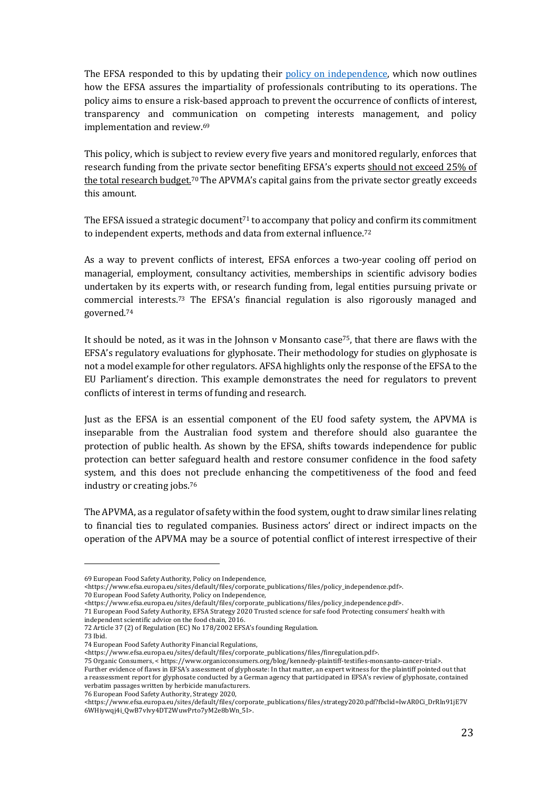The EFSA responded to this by updating their policy on independence, which now outlines how the EFSA assures the impartiality of professionals contributing to its operations. The policy aims to ensure a risk-based approach to prevent the occurrence of conflicts of interest, transparency and communication on competing interests management, and policy implementation and review.<sup>69</sup>

This policy, which is subject to review every five years and monitored regularly, enforces that research funding from the private sector benefiting EFSA's experts should not exceed 25% of the total research budget.<sup>70</sup> The APVMA's capital gains from the private sector greatly exceeds this amount.

The EFSA issued a strategic document<sup>71</sup> to accompany that policy and confirm its commitment to independent experts, methods and data from external influence.<sup>72</sup>

As a way to prevent conflicts of interest, EFSA enforces a two-year cooling off period on managerial, employment, consultancy activities, memberships in scientific advisory bodies undertaken by its experts with, or research funding from, legal entities pursuing private or commercial interests.<sup>73</sup> The EFSA's financial regulation is also rigorously managed and governed.74 

It should be noted, as it was in the Johnson v Monsanto case<sup>75</sup>, that there are flaws with the EFSA's regulatory evaluations for glyphosate. Their methodology for studies on glyphosate is not a model example for other regulators. AFSA highlights only the response of the EFSA to the EU Parliament's direction. This example demonstrates the need for regulators to prevent conflicts of interest in terms of funding and research.

Just as the EFSA is an essential component of the EU food safety system, the APVMA is inseparable from the Australian food system and therefore should also guarantee the protection of public health. As shown by the EFSA, shifts towards independence for public protection can better safeguard health and restore consumer confidence in the food safety system, and this does not preclude enhancing the competitiveness of the food and feed industry or creating jobs.<sup>76</sup>

The APVMA, as a regulator of safety within the food system, ought to draw similar lines relating to financial ties to regulated companies. Business actors' direct or indirect impacts on the operation of the APVMA may be a source of potential conflict of interest irrespective of their

 

76 European Food Safety Authority, Strategy 2020,

<sup>69</sup> European Food Safety Authority, Policy on Independence,

<sup>&</sup>lt;https://www.efsa.europa.eu/sites/default/files/corporate\_publications/files/policy\_independence.pdf>.

<sup>70</sup> European Food Safety Authority, Policy on Independence,

<sup>&</sup>lt;https://www.efsa.europa.eu/sites/default/files/corporate\_publications/files/policy\_independence.pdf>. 

<sup>71</sup> European Food Safety Authority, EFSA Strategy 2020 Trusted science for safe food Protecting consumers' health with independent scientific advice on the food chain, 2016.

<sup>72</sup> Article 37 (2) of Regulation (EC) No 178/2002 EFSA's founding Regulation.

<sup>73</sup> Ibid. 

<sup>74</sup> European Food Safety Authority Financial Regulations,

<sup>&</sup>lt;https://www.efsa.europa.eu/sites/default/files/corporate\_publications/files/finregulation.pdf>. 

<sup>75</sup> Organic Consumers, < https://www.organicconsumers.org/blog/kennedy-plaintiff-testifies-monsanto-cancer-trial>.

Further evidence of flaws in EFSA's assessment of glyphosate: In that matter, an expert witness for the plaintiff pointed out that a reassessment report for glyphosate conducted by a German agency that participated in EFSA's review of glyphosate, contained verbatim passages written by herbicide manufacturers.

<sup>&</sup>lt;https://www.efsa.europa.eu/sites/default/files/corporate\_publications/files/strategy2020.pdf?fbclid=IwAR0Ci\_DrRln91jE7V 6WHiywqj4i\_QwB7vlvy4DT2WuwPrto7yM2e8bWn\_5I>.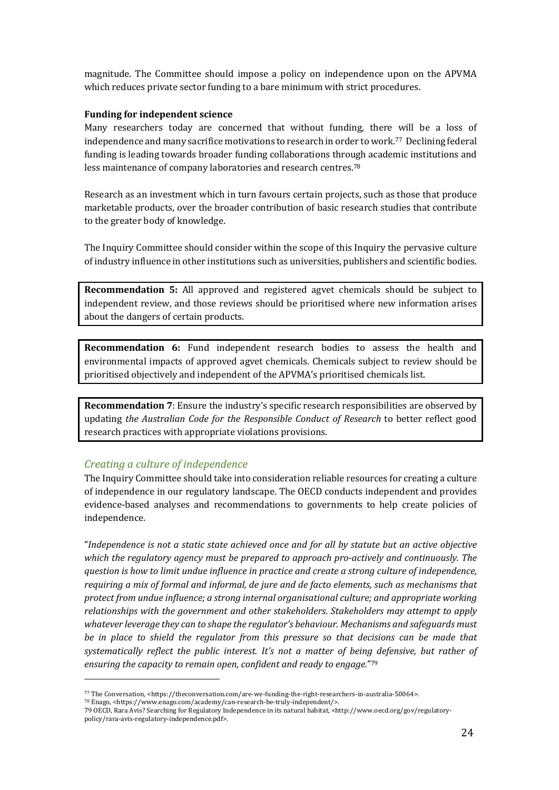magnitude. The Committee should impose a policy on independence upon on the APVMA which reduces private sector funding to a bare minimum with strict procedures.

#### **Funding for independent science**

Many researchers today are concerned that without funding, there will be a loss of independence and many sacrifice motivations to research in order to work.<sup>77</sup> Declining federal funding is leading towards broader funding collaborations through academic institutions and less maintenance of company laboratories and research centres.<sup>78</sup>

Research as an investment which in turn favours certain projects, such as those that produce marketable products, over the broader contribution of basic research studies that contribute to the greater body of knowledge.

The Inquiry Committee should consider within the scope of this Inquiry the pervasive culture of industry influence in other institutions such as universities, publishers and scientific bodies.

**Recommendation 5:** All approved and registered agvet chemicals should be subject to independent review, and those reviews should be prioritised where new information arises about the dangers of certain products.

**Recommendation 6:** Fund independent research bodies to assess the health and environmental impacts of approved agvet chemicals. Chemicals subject to review should be prioritised objectively and independent of the APVMA's prioritised chemicals list.

**Recommendation** 7: Ensure the industry's specific research responsibilities are observed by updating *the Australian Code for the Responsible Conduct of Research* to better reflect good research practices with appropriate violations provisions.

### *Creating a culture of independence*

 

The Inquiry Committee should take into consideration reliable resources for creating a culture of independence in our regulatory landscape. The OECD conducts independent and provides evidence-based analyses and recommendations to governments to help create policies of independence. 

"Independence is not a static state achieved once and for all by statute but an active objective which the regulatory agency must be prepared to approach pro-actively and continuously. The *question is how to limit undue influence in practice and create a strong culture of independence, requiring a mix of formal and informal, de jure and de facto elements, such as mechanisms that protect from undue influence; a strong internal organisational culture; and appropriate working* relationships with the government and other stakeholders. Stakeholders may attempt to apply whatever leverage they can to shape the regulator's behaviour. Mechanisms and safeguards must *be* in place to shield the regulator from this pressure so that decisions can be made that *systematically reflect the public interest. It's not a matter of being defensive, but rather of ensuring the capacity to remain open, confident and ready to engage.*"<sup>79</sup>

<sup>77</sup> The Conversation, <https://theconversation.com/are-we-funding-the-right-researchers-in-australia-50064>.

<sup>&</sup>lt;sup>78</sup> Enago, <https://www.enago.com/academy/can-research-be-truly-independent/>.

<sup>79</sup> OECD, Rara Avis? Searching for Regulatory Independence in its natural habitat, <http://www.oecd.org/gov/regulatorypolicy/rara-avis-regulatory-independence.pdf>.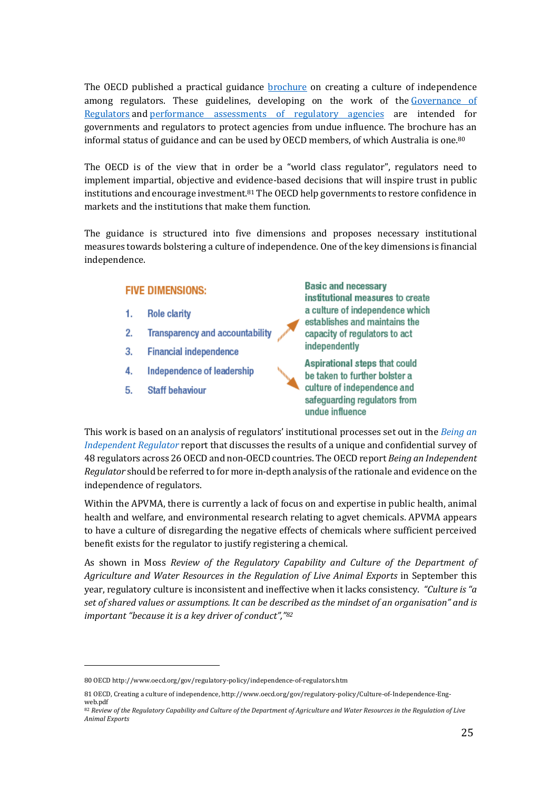The OECD published a practical guidance **brochure** on creating a culture of independence among regulators. These guidelines, developing on the work of the Governance of Regulators and performance assessments of regulatory agencies are intended for governments and regulators to protect agencies from undue influence. The brochure has an informal status of guidance and can be used by OECD members, of which Australia is one.<sup>80</sup>

The OECD is of the view that in order be a "world class regulator", regulators need to implement impartial, objective and evidence-based decisions that will inspire trust in public institutions and encourage investment. $81$  The OECD help governments to restore confidence in markets and the institutions that make them function.

The guidance is structured into five dimensions and proposes necessary institutional measures towards bolstering a culture of independence. One of the key dimensions is financial independence.

# **FIVE DIMENSIONS:**

- 1. **Role clarity**
- $2.$ **Transparency and accountability**
- $3.$ **Financial independence**
- 4. Independence of leadership
- 5. **Staff behaviour**

**Basic and necessary** institutional measures to create a culture of independence which establishes and maintains the capacity of regulators to act independently

Aspirational steps that could be taken to further bolster a culture of independence and safequarding regulators from undue influence

This work is based on an analysis of regulators' institutional processes set out in the *Being an Independent Regulator* report that discusses the results of a unique and confidential survey of 48 regulators across 26 OECD and non-OECD countries. The OECD report *Being an Independent Regulator* should be referred to for more in-depth analysis of the rationale and evidence on the independence of regulators.

Within the APVMA, there is currently a lack of focus on and expertise in public health, animal health and welfare, and environmental research relating to agvet chemicals. APVMA appears to have a culture of disregarding the negative effects of chemicals where sufficient perceived benefit exists for the regulator to justify registering a chemical.

As shown in Moss *Review of the Regulatory Capability and Culture of the Department of* Agriculture and Water Resources in the Regulation of Live Animal Exports in September this year, regulatory culture is inconsistent and ineffective when it lacks consistency. *"Culture is "a* set of shared values or assumptions. It can be described as the mindset of an organisation" and is *important "because it is a key driver of conduct"*, "82

<sup>80</sup> OECD http://www.oecd.org/gov/regulatory-policy/independence-of-regulators.htm

<sup>81</sup> OECD, Creating a culture of independence, http://www.oecd.org/gov/regulatory-policy/Culture-of-Independence-Engweb.pdf

<sup>82</sup> Review of the Regulatory Capability and Culture of the Department of Agriculture and Water Resources in the Regulation of Live *Animal Exports*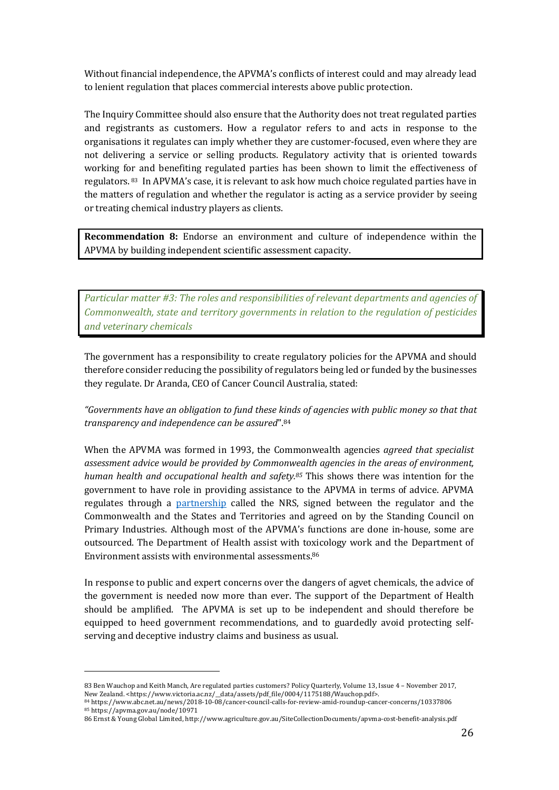Without financial independence, the APVMA's conflicts of interest could and may already lead to lenient regulation that places commercial interests above public protection.

The Inquiry Committee should also ensure that the Authority does not treat regulated parties and registrants as customers. How a regulator refers to and acts in response to the organisations it regulates can imply whether they are customer-focused, even where they are not delivering a service or selling products. Regulatory activity that is oriented towards working for and benefiting regulated parties has been shown to limit the effectiveness of regulators. <sup>83</sup> In APVMA's case, it is relevant to ask how much choice regulated parties have in the matters of regulation and whether the regulator is acting as a service provider by seeing or treating chemical industry players as clients.

**Recommendation 8:** Endorse an environment and culture of independence within the APVMA by building independent scientific assessment capacity.

Particular matter #3: The roles and responsibilities of relevant departments and agencies of *Commonwealth, state and territory governments in relation to the regulation of pesticides and veterinary chemicals*

The government has a responsibility to create regulatory policies for the APVMA and should therefore consider reducing the possibility of regulators being led or funded by the businesses they regulate. Dr Aranda, CEO of Cancer Council Australia, stated:

*"Governments have an obligation to fund these kinds of agencies with public money so that that transparency and independence can be assured*". 84

When the APVMA was formed in 1993, the Commonwealth agencies *agreed that specialist* assessment advice would be provided by Commonwealth agencies in the areas of environment, *human health and occupational health and safety.<sup>85</sup>* This shows there was intention for the government to have role in providing assistance to the APVMA in terms of advice. APVMA regulates through a partnership called the NRS, signed between the regulator and the Commonwealth and the States and Territories and agreed on by the Standing Council on Primary Industries. Although most of the APVMA's functions are done in-house, some are outsourced. The Department of Health assist with toxicology work and the Department of Environment assists with environmental assessments.<sup>86</sup>

In response to public and expert concerns over the dangers of agvet chemicals, the advice of the government is needed now more than ever. The support of the Department of Health should be amplified. The APVMA is set up to be independent and should therefore be equipped to heed government recommendations, and to guardedly avoid protecting selfserving and deceptive industry claims and business as usual.

<sup>83</sup> Ben Wauchop and Keith Manch, Are regulated parties customers? Policy Quarterly, Volume 13, Issue 4 - November 2017, New Zealand. <https://www.victoria.ac.nz/\_\_data/assets/pdf\_file/0004/1175188/Wauchop.pdf>.

<sup>84</sup> https://www.abc.net.au/news/2018-10-08/cancer-council-calls-for-review-amid-roundup-cancer-concerns/10337806 <sup>85</sup> https://apvma.gov.au/node/10971

<sup>86</sup> Ernst & Young Global Limited, http://www.agriculture.gov.au/SiteCollectionDocuments/apvma-cost-benefit-analysis.pdf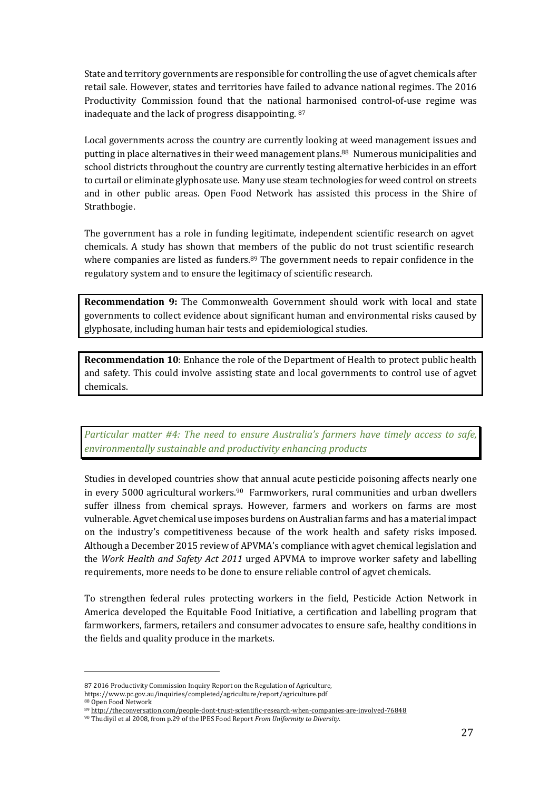State and territory governments are responsible for controlling the use of agvet chemicals after retail sale. However, states and territories have failed to advance national regimes. The 2016 Productivity Commission found that the national harmonised control-of-use regime was inadequate and the lack of progress disappointing. 87

Local governments across the country are currently looking at weed management issues and putting in place alternatives in their weed management plans.<sup>88</sup> Numerous municipalities and school districts throughout the country are currently testing alternative herbicides in an effort to curtail or eliminate glyphosate use. Many use steam technologies for weed control on streets and in other public areas. Open Food Network has assisted this process in the Shire of Strathbogie.

The government has a role in funding legitimate, independent scientific research on agvet chemicals. A study has shown that members of the public do not trust scientific research where companies are listed as funders. $89$  The government needs to repair confidence in the regulatory system and to ensure the legitimacy of scientific research.

**Recommendation 9:** The Commonwealth Government should work with local and state governments to collect evidence about significant human and environmental risks caused by glyphosate, including human hair tests and epidemiological studies.

**Recommendation 10:** Enhance the role of the Department of Health to protect public health and safety. This could involve assisting state and local governments to control use of agvet chemicals.

*Particular matter #4: The need to ensure Australia's farmers have timely access to safe,* environmentally sustainable and productivity enhancing products

Studies in developed countries show that annual acute pesticide poisoning affects nearly one in every 5000 agricultural workers.<sup>90</sup> Farmworkers, rural communities and urban dwellers suffer illness from chemical sprays. However, farmers and workers on farms are most vulnerable. Agvet chemical use imposes burdens on Australian farms and has a material impact on the industry's competitiveness because of the work health and safety risks imposed. Although a December 2015 review of APVMA's compliance with agvet chemical legislation and the Work Health and Safety Act 2011 urged APVMA to improve worker safety and labelling requirements, more needs to be done to ensure reliable control of agvet chemicals.

To strengthen federal rules protecting workers in the field, Pesticide Action Network in America developed the Equitable Food Initiative, a certification and labelling program that farmworkers, farmers, retailers and consumer advocates to ensure safe, healthy conditions in the fields and quality produce in the markets.

<sup>87 2016</sup> Productivity Commission Inquiry Report on the Regulation of Agriculture.

https://www.pc.gov.au/inquiries/completed/agriculture/report/agriculture.pdf 88 Open Food Network

<sup>89</sup> http://theconversation.com/people-dont-trust-scientific-research-when-companies-are-involved-76848

<sup>&</sup>lt;sup>90</sup> Thudiyil et al 2008, from p.29 of the IPES Food Report *From Uniformity to Diversity*.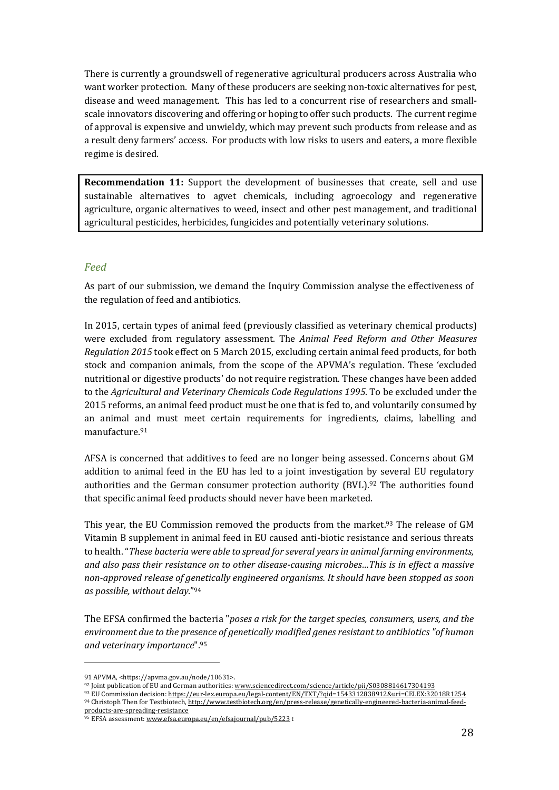There is currently a groundswell of regenerative agricultural producers across Australia who want worker protection. Many of these producers are seeking non-toxic alternatives for pest, disease and weed management. This has led to a concurrent rise of researchers and smallscale innovators discovering and offering or hoping to offer such products. The current regime of approval is expensive and unwieldy, which may prevent such products from release and as a result deny farmers' access. For products with low risks to users and eaters, a more flexible regime is desired.

**Recommendation 11:** Support the development of businesses that create, sell and use sustainable alternatives to agvet chemicals, including agroecology and regenerative agriculture, organic alternatives to weed, insect and other pest management, and traditional agricultural pesticides, herbicides, fungicides and potentially veterinary solutions.

### *Feed*

As part of our submission, we demand the Inquiry Commission analyse the effectiveness of the regulation of feed and antibiotics.

In 2015, certain types of animal feed (previously classified as veterinary chemical products) were excluded from regulatory assessment. The *Animal Feed Reform and Other Measures Regulation 2015* took effect on 5 March 2015, excluding certain animal feed products, for both stock and companion animals, from the scope of the APVMA's regulation. These 'excluded nutritional or digestive products' do not require registration. These changes have been added to the *Agricultural and Veterinary Chemicals Code Regulations 1995*. To be excluded under the 2015 reforms, an animal feed product must be one that is fed to, and voluntarily consumed by an animal and must meet certain requirements for ingredients, claims, labelling and manufacture.91

AFSA is concerned that additives to feed are no longer being assessed. Concerns about GM addition to animal feed in the EU has led to a joint investigation by several EU regulatory authorities and the German consumer protection authority (BVL).<sup>92</sup> The authorities found that specific animal feed products should never have been marketed.

This year, the EU Commission removed the products from the market. $93$  The release of GM Vitamin B supplement in animal feed in EU caused anti-biotic resistance and serious threats to health. "*These bacteria were able to spread for several years in animal farming environments,* and also pass their resistance on to other disease-causing microbes...This is in effect a massive non-approved release of genetically engineered organisms. It should have been stopped as soon as possible, without delay."94

The EFSA confirmed the bacteria "*poses a risk for the target species, consumers, users, and the* environment due to the presence of genetically modified genes resistant to antibiotics "of human *and veterinary importance*".95

<sup>91</sup> APVMA, <https://apvma.gov.au/node/10631>.

<sup>92</sup> Joint publication of EU and German authorities: www.sciencedirect.com/science/article/pii/S0308814617304193

<sup>93</sup> EU Commission decision: https://eur-lex.europa.eu/legal-content/EN/TXT/?qid=1543312838912&uri=CELEX:32018R1254 94 Christoph Then for Testbiotech, http://www.testbiotech.org/en/press-release/genetically-engineered-bacteria-animal-feed-

products-are-spreading-resistance

<sup>95</sup> EFSA assessment: www.efsa.europa.eu/en/efsajournal/pub/5223 t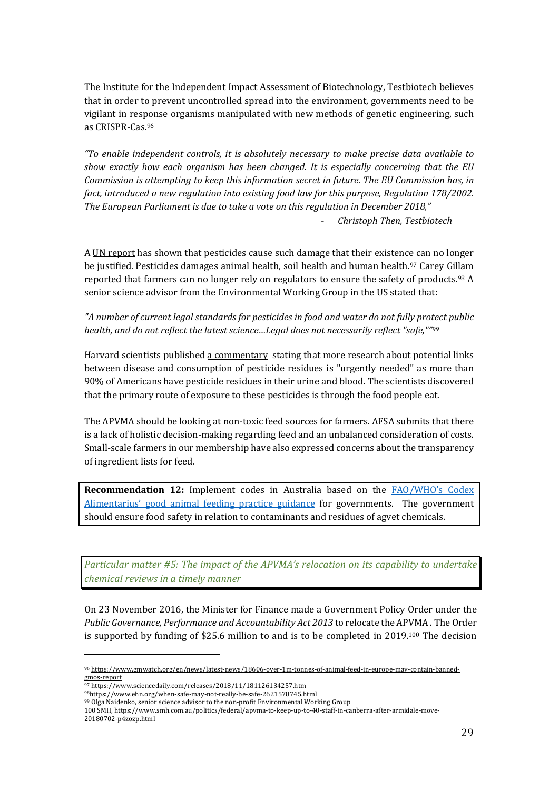The Institute for the Independent Impact Assessment of Biotechnology, Testbiotech believes that in order to prevent uncontrolled spread into the environment, governments need to be vigilant in response organisms manipulated with new methods of genetic engineering, such as CRISPR-Cas.96

*"To* enable independent controls, it is absolutely necessary to make precise data available to *show* exactly how each organism has been changed. It is especially concerning that the EU *Commission is attempting to keep this information secret in future. The EU Commission has, in* fact, introduced a new regulation into existing food law for this purpose, Regulation 178/2002. The European Parliament is due to take a vote on this regulation in December 2018," - *Christoph Then, Testbiotech*

A UN report has shown that pesticides cause such damage that their existence can no longer be justified. Pesticides damages animal health, soil health and human health.<sup>97</sup> Carey Gillam reported that farmers can no longer rely on regulators to ensure the safety of products.<sup>98</sup> A senior science advisor from the Environmental Working Group in the US stated that:

"A number of current legal standards for pesticides in food and water do not fully protect public *health, and do not reflect the latest science...Legal does not necessarily reflect "safe,""99* 

Harvard scientists published a commentary stating that more research about potential links between disease and consumption of pesticide residues is "urgently needed" as more than 90% of Americans have pesticide residues in their urine and blood. The scientists discovered that the primary route of exposure to these pesticides is through the food people eat.

The APVMA should be looking at non-toxic feed sources for farmers. AFSA submits that there is a lack of holistic decision-making regarding feed and an unbalanced consideration of costs. Small-scale farmers in our membership have also expressed concerns about the transparency of ingredient lists for feed.

**Recommendation 12:** Implement codes in Australia based on the FAO/WHO's Codex Alimentarius' good animal feeding practice guidance for governments. The government should ensure food safety in relation to contaminants and residues of agvet chemicals.

Particular matter #5: The *impact of the APVMA's relocation on its capability to undertake chemical reviews in a timely manner*

On 23 November 2016, the Minister for Finance made a Government Policy Order under the *Public Governance, Performance and Accountability Act 2013* to relocate the APVMA. The Order is supported by funding of \$25.6 million to and is to be completed in 2019.<sup>100</sup> The decision

<sup>96</sup> https://www.gmwatch.org/en/news/latest-news/18606-over-1m-tonnes-of-animal-feed-in-europe-may-contain-bannedgmos-report

<sup>97</sup> https://www.sciencedaily.com/releases/2018/11/181126134257.htm

<sup>98</sup>https://www.ehn.org/when-safe-may-not-really-be-safe-2621578745.html

<sup>99</sup> Olga Naidenko, senior science advisor to the non-profit Environmental Working Group 100 SMH, https://www.smh.com.au/politics/federal/apvma-to-keep-up-to-40-staff-in-canberra-after-armidale-move-

<sup>20180702-</sup>p4zozp.html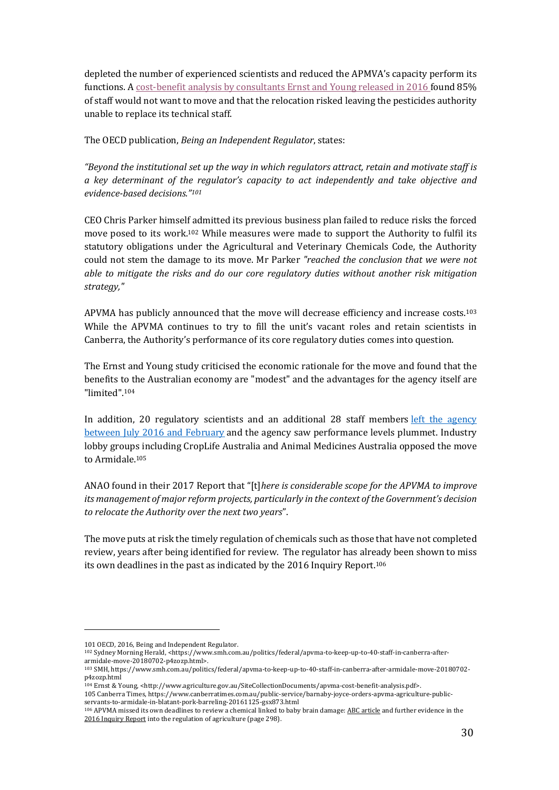depleted the number of experienced scientists and reduced the APMVA's capacity perform its functions. A cost-benefit analysis by consultants Ernst and Young released in 2016 found 85% of staff would not want to move and that the relocation risked leaving the pesticides authority unable to replace its technical staff.

The OECD publication, *Being an Independent Regulator*, states:

"Beyond the institutional set up the way in which regulators attract, retain and motivate staff is *a key determinant of the regulator's capacity to act independently and take objective and evidence-based decisions."101*

CEO Chris Parker himself admitted its previous business plan failed to reduce risks the forced move posed to its work.<sup>102</sup> While measures were made to support the Authority to fulfil its statutory obligations under the Agricultural and Veterinary Chemicals Code, the Authority could not stem the damage to its move. Mr Parker *"reached the conclusion that we were not able to mitigate the risks and do our core regulatory duties without another risk mitigation strategy,"*

APVMA has publicly announced that the move will decrease efficiency and increase costs.<sup>103</sup> While the APVMA continues to try to fill the unit's vacant roles and retain scientists in Canberra, the Authority's performance of its core regulatory duties comes into question.

The Ernst and Young study criticised the economic rationale for the move and found that the benefits to the Australian economy are "modest" and the advantages for the agency itself are "limited". 104

In addition, 20 regulatory scientists and an additional 28 staff members left the agency between July 2016 and February and the agency saw performance levels plummet. Industry lobby groups including CropLife Australia and Animal Medicines Australia opposed the move to Armidale.105

ANAO found in their 2017 Report that "[t]*here is considerable scope for the APVMA to improve its* management of major reform projects, particularly in the context of the Government's decision to relocate the Authority over the next two years".

The move puts at risk the timely regulation of chemicals such as those that have not completed review, years after being identified for review. The regulator has already been shown to miss its own deadlines in the past as indicated by the  $2016$  Inquiry Report.<sup>106</sup>

<sup>101</sup> OECD, 2016, Being and Independent Regulator.

<sup>102</sup> Sydney Morning Herald, <https://www.smh.com.au/politics/federal/apvma-to-keep-up-to-40-staff-in-canberra-afterarmidale-move-20180702-p4zozp.html>.

<sup>103</sup> SMH, https://www.smh.com.au/politics/federal/apvma-to-keep-up-to-40-staff-in-canberra-after-armidale-move-20180702p4zozp.html

<sup>104</sup> Ernst & Young, <http://www.agriculture.gov.au/SiteCollectionDocuments/apvma-cost-benefit-analysis.pdf>.

<sup>105</sup> Canberra Times, https://www.canberratimes.com.au/public-service/barnaby-joyce-orders-apvma-agriculture-publicservants-to-armidale-in-blatant-pork-barreling-20161125-gsx873.html

<sup>106</sup> APVMA missed its own deadlines to review a chemical linked to baby brain damage: ABC article and further evidence in the 2016 Inquiry Report into the regulation of agriculture (page 298).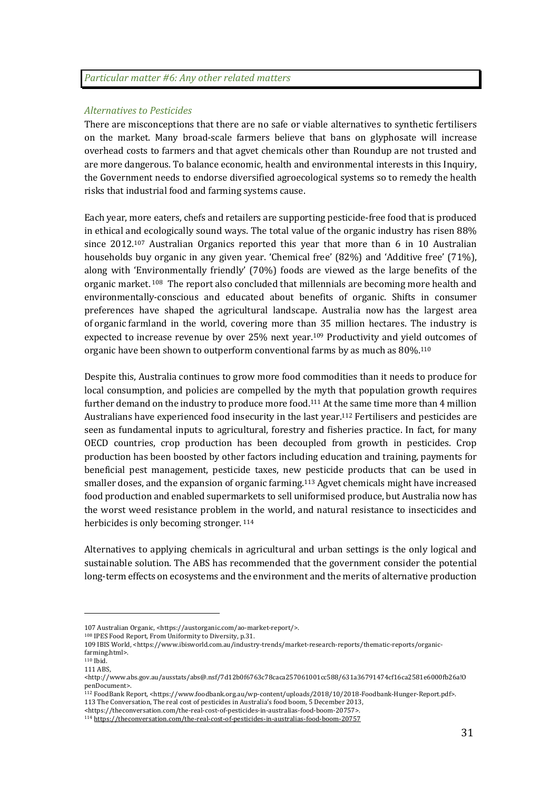#### *Alternatives to Pesticides*

There are misconceptions that there are no safe or viable alternatives to synthetic fertilisers on the market. Many broad-scale farmers believe that bans on glyphosate will increase overhead costs to farmers and that agvet chemicals other than Roundup are not trusted and are more dangerous. To balance economic, health and environmental interests in this Inquiry, the Government needs to endorse diversified agroecological systems so to remedy the health risks that industrial food and farming systems cause.

Each year, more eaters, chefs and retailers are supporting pesticide-free food that is produced in ethical and ecologically sound ways. The total value of the organic industry has risen 88% since  $2012^{107}$  Australian Organics reported this year that more than 6 in 10 Australian households buy organic in any given year. 'Chemical free'  $(82%)$  and 'Additive free'  $(71%)$ , along with 'Environmentally friendly'  $(70%)$  foods are viewed as the large benefits of the organic market.  $108$  The report also concluded that millennials are becoming more health and environmentally-conscious and educated about benefits of organic. Shifts in consumer preferences have shaped the agricultural landscape. Australia now has the largest area of organic farmland in the world, covering more than 35 million hectares. The industry is expected to increase revenue by over 25% next year.<sup>109</sup> Productivity and yield outcomes of organic have been shown to outperform conventional farms by as much as  $80\%$ .<sup>110</sup>

Despite this, Australia continues to grow more food commodities than it needs to produce for local consumption, and policies are compelled by the myth that population growth requires further demand on the industry to produce more food.<sup>111</sup> At the same time more than 4 million Australians have experienced food insecurity in the last year.<sup>112</sup> Fertilisers and pesticides are seen as fundamental inputs to agricultural, forestry and fisheries practice. In fact, for many OECD countries, crop production has been decoupled from growth in pesticides. Crop production has been boosted by other factors including education and training, payments for beneficial pest management, pesticide taxes, new pesticide products that can be used in smaller doses, and the expansion of organic farming.<sup>113</sup> Agvet chemicals might have increased food production and enabled supermarkets to sell uniformised produce, but Australia now has the worst weed resistance problem in the world, and natural resistance to insecticides and herbicides is only becoming stronger. 114

Alternatives to applying chemicals in agricultural and urban settings is the only logical and sustainable solution. The ABS has recommended that the government consider the potential long-term effects on ecosystems and the environment and the merits of alternative production

<u> 1989 - Johann Stein, marwolaethau a bh</u>

113 The Conversation, The real cost of pesticides in Australia's food boom, 5 December 2013,

<sup>107</sup> Australian Organic, <https://austorganic.com/ao-market-report/>.

<sup>&</sup>lt;sup>108</sup> IPES Food Report, From Uniformity to Diversity, p.31.

<sup>109</sup> IBIS World, <https://www.ibisworld.com.au/industry-trends/market-research-reports/thematic-reports/organicfarming.html>.

 $110$  Ibid. 111 ABS, 

<sup>&</sup>lt;http://www.abs.gov.au/ausstats/abs@.nsf/7d12b0f6763c78caca257061001cc588/631a36791474cf16ca2581e6000fb26a!O penDocument>. 

<sup>112</sup> FoodBank Report, <https://www.foodbank.org.au/wp-content/uploads/2018/10/2018-Foodbank-Hunger-Report.pdf>.

<sup>&</sup>lt;https://theconversation.com/the-real-cost-of-pesticides-in-australias-food-boom-20757>.

<sup>114</sup> https://theconversation.com/the-real-cost-of-pesticides-in-australias-food-boom-20757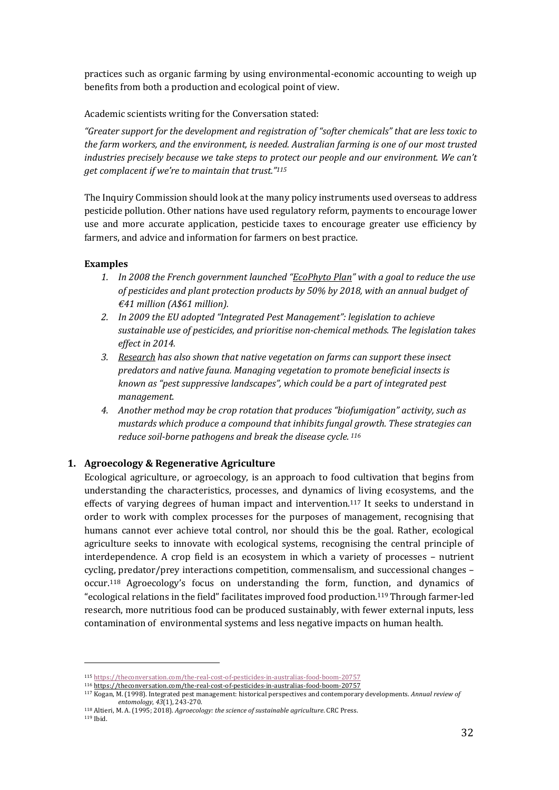practices such as organic farming by using environmental-economic accounting to weigh up benefits from both a production and ecological point of view.

Academic scientists writing for the Conversation stated:

*"Greater support for the development and registration of "softer chemicals" that are less toxic to the farm workers, and the environment, is needed. Australian farming is one of our most trusted industries precisely because we take steps to protect our people and our environment. We can't get complacent if we're to maintain that trust."<sup>115</sup>* 

The Inquiry Commission should look at the many policy instruments used overseas to address pesticide pollution. Other nations have used regulatory reform, payments to encourage lower use and more accurate application, pesticide taxes to encourage greater use efficiency by farmers, and advice and information for farmers on best practice.

#### **Examples**

- *1. In 2008 the French government launched "EcoPhyto Plan" with a goal to reduce the use of pesticides and plant protection products by 50% by 2018, with an annual budget of €41 million (A\$61 million).*
- *2. In 2009 the EU adopted "Integrated Pest Management": legislation to achieve sustainable use of pesticides, and prioritise non-chemical methods. The legislation takes effect in 2014.*
- *3. Research has also shown that native vegetation on farms can support these insect predators and native fauna. Managing vegetation to promote beneficial insects is known as "pest suppressive landscapes", which could be a part of integrated pest management.*
- *4. Another method may be crop rotation that produces "biofumigation" activity, such as mustards which produce a compound that inhibits fungal growth. These strategies can reduce soil-borne pathogens and break the disease cycle. <sup>116</sup>*

#### **1. Agroecology & Regenerative Agriculture**

 

Ecological agriculture, or agroecology, is an approach to food cultivation that begins from understanding the characteristics, processes, and dynamics of living ecosystems, and the effects of varying degrees of human impact and intervention.<sup>117</sup> It seeks to understand in order to work with complex processes for the purposes of management, recognising that humans cannot ever achieve total control, nor should this be the goal. Rather, ecological agriculture seeks to innovate with ecological systems, recognising the central principle of interdependence. A crop field is an ecosystem in which a variety of processes – nutrient cycling, predator/prey interactions competition, commensalism, and successional changes occur.<sup>118</sup> Agroecology's focus on understanding the form, function, and dynamics of "ecological relations in the field" facilitates improved food production.<sup>119</sup> Through farmer-led research, more nutritious food can be produced sustainably, with fewer external inputs, less contamination of environmental systems and less negative impacts on human health.

<sup>115</sup> https://theconversation.com/the-real-cost-of-pesticides-in-australias-food-boom-20757

<sup>116</sup> https://theconversation.com/the-real-cost-of-pesticides-in-australias-food-boom-20757

<sup>117</sup> Kogan, M. (1998). Integrated pest management: historical perspectives and contemporary developments. Annual review of *entomology*, *43*(1), 243-270.

<sup>&</sup>lt;sup>118</sup> Altieri, M. A. (1995; 2018). *Agroecology: the science of sustainable agriculture*. CRC Press. <sup>119</sup> Ibid.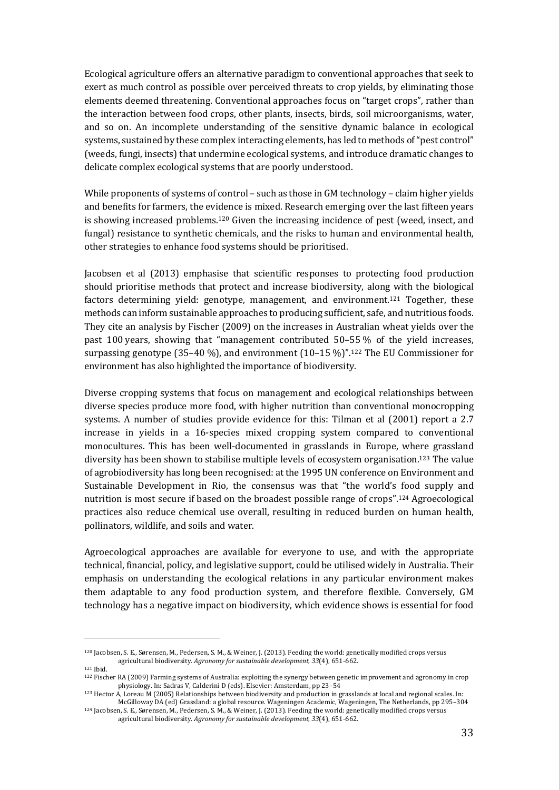Ecological agriculture offers an alternative paradigm to conventional approaches that seek to exert as much control as possible over perceived threats to crop yields, by eliminating those elements deemed threatening. Conventional approaches focus on "target crops", rather than the interaction between food crops, other plants, insects, birds, soil microorganisms, water, and so on. An incomplete understanding of the sensitive dynamic balance in ecological systems, sustained by these complex interacting elements, has led to methods of "pest control" (weeds, fungi, insects) that undermine ecological systems, and introduce dramatic changes to delicate complex ecological systems that are poorly understood.

While proponents of systems of control – such as those in  $GM$  technology – claim higher yields and benefits for farmers, the evidence is mixed. Research emerging over the last fifteen years is showing increased problems.<sup>120</sup> Given the increasing incidence of pest (weed, insect, and fungal) resistance to synthetic chemicals, and the risks to human and environmental health, other strategies to enhance food systems should be prioritised.

Jacobsen et al (2013) emphasise that scientific responses to protecting food production should prioritise methods that protect and increase biodiversity, along with the biological factors determining yield: genotype, management, and environment.<sup>121</sup> Together, these methods can inform sustainable approaches to producing sufficient, safe, and nutritious foods. They cite an analysis by Fischer (2009) on the increases in Australian wheat yields over the past 100 years, showing that "management contributed  $50-55\%$  of the yield increases, surpassing genotype  $(35-40 \%)$ , and environment  $(10-15 \%)$ ".<sup>122</sup> The EU Commissioner for environment has also highlighted the importance of biodiversity.

Diverse cropping systems that focus on management and ecological relationships between diverse species produce more food, with higher nutrition than conventional monocropping systems. A number of studies provide evidence for this: Tilman et al (2001) report a 2.7 increase in yields in a 16-species mixed cropping system compared to conventional monocultures. This has been well-documented in grasslands in Europe, where grassland diversity has been shown to stabilise multiple levels of ecosystem organisation.<sup>123</sup> The value of agrobiodiversity has long been recognised: at the 1995 UN conference on Environment and Sustainable Development in Rio, the consensus was that "the world's food supply and nutrition is most secure if based on the broadest possible range of crops".<sup>124</sup> Agroecological practices also reduce chemical use overall, resulting in reduced burden on human health, pollinators, wildlife, and soils and water.

Agroecological approaches are available for everyone to use, and with the appropriate technical, financial, policy, and legislative support, could be utilised widely in Australia. Their emphasis on understanding the ecological relations in any particular environment makes them adaptable to any food production system, and therefore flexible. Conversely, GM technology has a negative impact on biodiversity, which evidence shows is essential for food

<sup>&</sup>lt;sup>120</sup> Jacobsen, S. E., Sørensen, M., Pedersen, S. M., & Weiner, J. (2013). Feeding the world: genetically modified crops versus agricultural biodiversity. *Agronomy for sustainable development*, 33(4), 651-662.

<sup>121</sup> Ibid. 

<sup>&</sup>lt;sup>122</sup> Fischer RA (2009) Farming systems of Australia: exploiting the synergy between genetic improvement and agronomy in crop physiology. In: Sadras V, Calderini D (eds). Elsevier: Amsterdam, pp 23-54

 $123$  Hector A, Loreau M (2005) Relationships between biodiversity and production in grasslands at local and regional scales. In: McGilloway DA (ed) Grassland: a global resource. Wageningen Academic, Wageningen, The Netherlands, pp 295-304 124 Jacobsen, S. E., Sørensen, M., Pedersen, S. M., & Weiner, J. (2013). Feeding the world: genetically modified crops versus

agricultural biodiversity. *Agronomy for sustainable development*, 33(4), 651-662.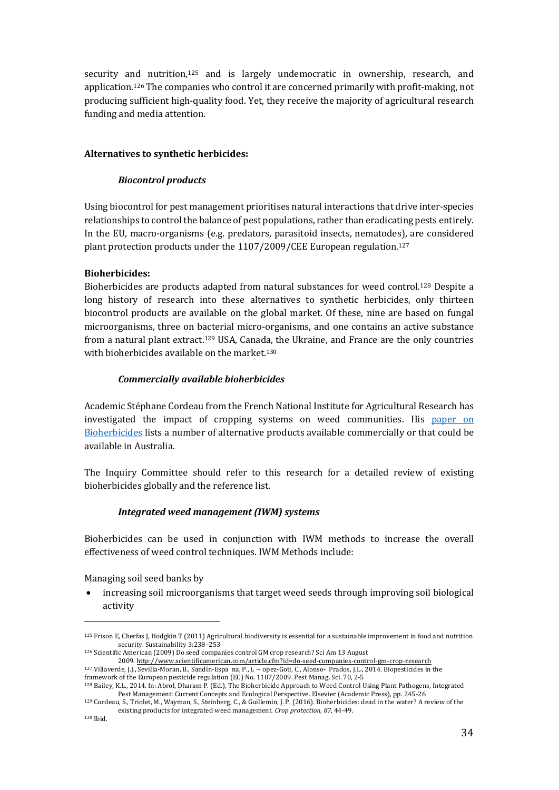security and nutrition, $125$  and is largely undemocratic in ownership, research, and application.<sup>126</sup> The companies who control it are concerned primarily with profit-making, not producing sufficient high-quality food. Yet, they receive the majority of agricultural research funding and media attention.

#### **Alternatives to synthetic herbicides:**

#### *Biocontrol products*

Using biocontrol for pest management prioritises natural interactions that drive inter-species relationships to control the balance of pest populations, rather than eradicating pests entirely. In the EU, macro-organisms (e.g. predators, parasitoid insects, nematodes), are considered plant protection products under the 1107/2009/CEE European regulation.<sup>127</sup>

### **Bioherbicides:**

Bioherbicides are products adapted from natural substances for weed control.<sup>128</sup> Despite a long history of research into these alternatives to synthetic herbicides, only thirteen biocontrol products are available on the global market. Of these, nine are based on fungal microorganisms, three on bacterial micro-organisms, and one contains an active substance from a natural plant extract.<sup>129</sup> USA, Canada, the Ukraine, and France are the only countries with bioherbicides available on the market. $130$ 

### *Commercially available bioherbicides*

Academic Stéphane Cordeau from the French National Institute for Agricultural Research has investigated the impact of cropping systems on weed communities. His paper on Bioherbicides lists a number of alternative products available commercially or that could be available in Australia.

The Inquiry Committee should refer to this research for a detailed review of existing bioherbicides globally and the reference list.

## *Integrated weed management (IWM) systems*

Bioherbicides can be used in conjunction with IWM methods to increase the overall effectiveness of weed control techniques. IWM Methods include:

Managing soil seed banks by

 

• increasing soil microorganisms that target weed seeds through improving soil biological activity

<sup>125</sup> Frison E, Cherfas J, Hodgkin T (2011) Agricultural biodiversity is essential for a sustainable improvement in food and nutrition security. Sustainability 3:238-253

 $126$  Scientific American (2009) Do seed companies control GM crop research? Sci Am 13 August

<sup>2009.</sup> http://www.scientificamerican.com/article.cfm?id=do-seed-companies-control-gm-crop-research  $127$  Villaverde, J.J., Sevilla-Moran, B., Sandín-Espa na, P., L ~ opez-Goti, C., Alonso- Prados, J.L., 2014. Biopesticides in the framework of the European pesticide regulation (EC) No. 1107/2009. Pest Manag. Sci. 70, 2-5

<sup>&</sup>lt;sup>128</sup> Bailey, K.L., 2014. In: Abrol, Dharam P. (Ed.), The Bioherbicide Approach to Weed Control Using Plant Pathogens, Integrated Pest Management: Current Concepts and Ecological Perspective. Elsevier (Academic Press), pp. 245-26

<sup>129</sup> Cordeau, S., Triolet, M., Wayman, S., Steinberg, C., & Guillemin, J. P. (2016). Bioherbicides: dead in the water? A review of the existing products for integrated weed management. *Crop protection*, 87, 44-49.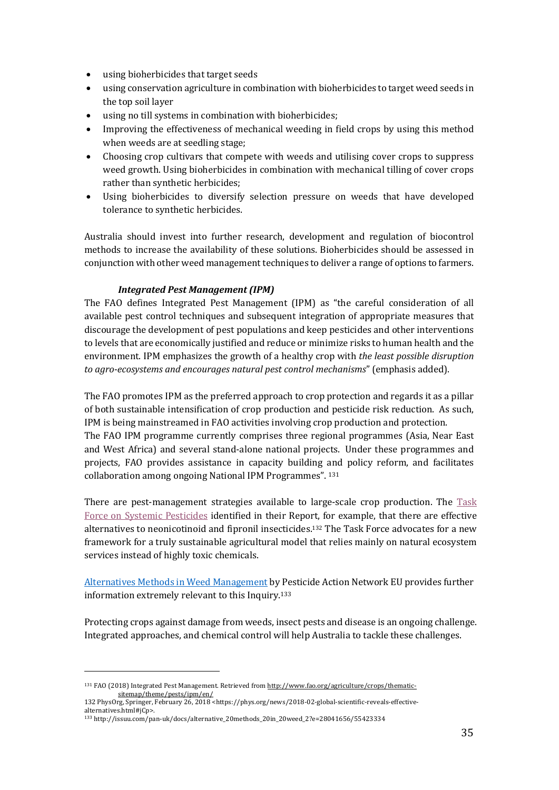- using bioherbicides that target seeds
- using conservation agriculture in combination with bioherbicides to target weed seeds in the top soil layer
- using no till systems in combination with bioherbicides;
- Improving the effectiveness of mechanical weeding in field crops by using this method when weeds are at seedling stage;
- Choosing crop cultivars that compete with weeds and utilising cover crops to suppress weed growth. Using bioherbicides in combination with mechanical tilling of cover crops rather than synthetic herbicides;
- Using bioherbicides to diversify selection pressure on weeds that have developed tolerance to synthetic herbicides.

Australia should invest into further research, development and regulation of biocontrol methods to increase the availability of these solutions. Bioherbicides should be assessed in conjunction with other weed management techniques to deliver a range of options to farmers.

#### *Integrated Pest Management (IPM)*

The FAO defines Integrated Pest Management (IPM) as "the careful consideration of all available pest control techniques and subsequent integration of appropriate measures that discourage the development of pest populations and keep pesticides and other interventions to levels that are economically justified and reduce or minimize risks to human health and the environment. IPM emphasizes the growth of a healthy crop with *the least possible disruption to agro-ecosystems and encourages natural pest control mechanisms*" (emphasis added).

The FAO promotes IPM as the preferred approach to crop protection and regards it as a pillar of both sustainable intensification of crop production and pesticide risk reduction. As such, IPM is being mainstreamed in FAO activities involving crop production and protection. The FAO IPM programme currently comprises three regional programmes (Asia, Near East and West Africa) and several stand-alone national projects. Under these programmes and projects, FAO provides assistance in capacity building and policy reform, and facilitates collaboration among ongoing National IPM Programmes". 131

There are pest-management strategies available to large-scale crop production. The Task Force on Systemic Pesticides identified in their Report, for example, that there are effective alternatives to neonicotinoid and fipronil insecticides.<sup>132</sup> The Task Force advocates for a new framework for a truly sustainable agricultural model that relies mainly on natural ecosystem services instead of highly toxic chemicals.

Alternatives Methods in Weed Management by Pesticide Action Network EU provides further information extremely relevant to this Inquiry.<sup>133</sup>

Protecting crops against damage from weeds, insect pests and disease is an ongoing challenge. Integrated approaches, and chemical control will help Australia to tackle these challenges.

<sup>&</sup>lt;sup>131</sup> FAO (2018) Integrated Pest Management. Retrieved from http://www.fao.org/agriculture/crops/thematicsitemap/theme/pests/ipm/en/

<sup>132</sup> PhysOrg, Springer, February 26, 2018 <https://phys.org/news/2018-02-global-scientific-reveals-effectivealternatives.html#jCp>.

<sup>133</sup> http://issuu.com/pan-uk/docs/alternative\_20methods\_20in\_20weed\_2?e=28041656/55423334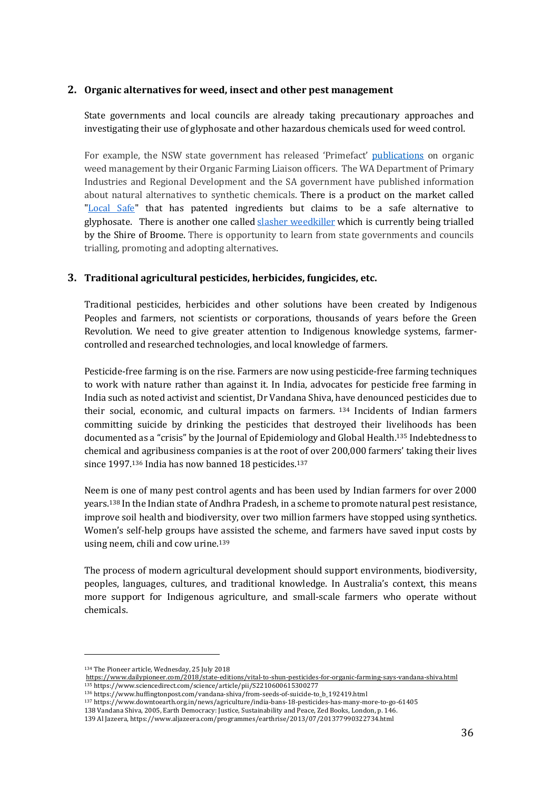### **2. Organic alternatives for weed, insect and other pest management**

State governments and local councils are already taking precautionary approaches and investigating their use of glyphosate and other hazardous chemicals used for weed control.

For example, the NSW state government has released 'Primefact' publications on organic weed management by their Organic Farming Liaison officers. The WA Department of Primary Industries and Regional Development and the SA government have published information about natural alternatives to synthetic chemicals. There is a product on the market called "Local Safe" that has patented ingredients but claims to be a safe alternative to glyphosate. There is another one called slasher weedkiller which is currently being trialled by the Shire of Broome. There is opportunity to learn from state governments and councils trialling, promoting and adopting alternatives.

### **3. Traditional agricultural pesticides, herbicides, fungicides, etc.**

Traditional pesticides, herbicides and other solutions have been created by Indigenous Peoples and farmers, not scientists or corporations, thousands of years before the Green Revolution. We need to give greater attention to Indigenous knowledge systems, farmercontrolled and researched technologies, and local knowledge of farmers.

Pesticide-free farming is on the rise. Farmers are now using pesticide-free farming techniques to work with nature rather than against it. In India, advocates for pesticide free farming in India such as noted activist and scientist, Dr Vandana Shiva, have denounced pesticides due to their social, economic, and cultural impacts on farmers.  $134$  Incidents of Indian farmers committing suicide by drinking the pesticides that destroyed their livelihoods has been documented as a "crisis" by the Journal of Epidemiology and Global Health.<sup>135</sup> Indebtedness to chemical and agribusiness companies is at the root of over 200,000 farmers' taking their lives since 1997.<sup>136</sup> India has now banned 18 pesticides.<sup>137</sup>

Neem is one of many pest control agents and has been used by Indian farmers for over 2000 years.<sup>138</sup> In the Indian state of Andhra Pradesh, in a scheme to promote natural pest resistance, improve soil health and biodiversity, over two million farmers have stopped using synthetics. Women's self-help groups have assisted the scheme, and farmers have saved input costs by using neem, chili and cow urine.<sup>139</sup>

The process of modern agricultural development should support environments, biodiversity, peoples, languages, cultures, and traditional knowledge. In Australia's context, this means more support for Indigenous agriculture, and small-scale farmers who operate without chemicals. 

<sup>&</sup>lt;sup>134</sup> The Pioneer article, Wednesday, 25 July 2018

https://www.dailypioneer.com/2018/state-editions/vital-to-shun-pesticides-for-organic-farming-says-vandana-shiva.html <sup>135</sup> https://www.sciencedirect.com/science/article/pii/S2210600615300277

<sup>136</sup> https://www.huffingtonpost.com/vandana-shiva/from-seeds-of-suicide-to\_b\_192419.html

<sup>137</sup> https://www.downtoearth.org.in/news/agriculture/india-bans-18-pesticides-has-many-more-to-go-61405

<sup>138</sup> Vandana Shiva, 2005, Earth Democracy: Justice, Sustainability and Peace, Zed Books, London, p. 146.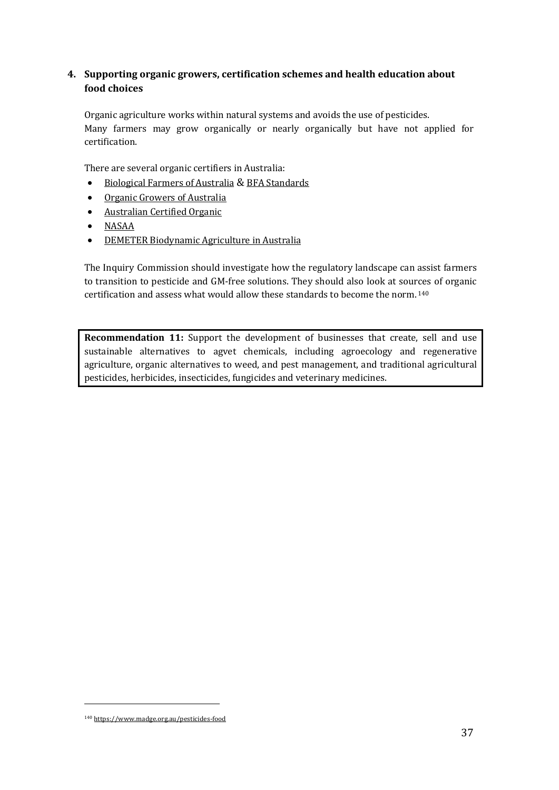# **4. Supporting organic growers, certification schemes and health education about food choices**

Organic agriculture works within natural systems and avoids the use of pesticides. Many farmers may grow organically or nearly organically but have not applied for certification. 

There are several organic certifiers in Australia:

- Biological Farmers of Australia & BFA Standards
- Organic Growers of Australia
- Australian Certified Organic
- NASAA
- DEMETER Biodynamic Agriculture in Australia

The Inquiry Commission should investigate how the regulatory landscape can assist farmers to transition to pesticide and GM-free solutions. They should also look at sources of organic certification and assess what would allow these standards to become the norm.  $140$ 

**Recommendation 11:** Support the development of businesses that create, sell and use sustainable alternatives to agvet chemicals, including agroecology and regenerative agriculture, organic alternatives to weed, and pest management, and traditional agricultural pesticides, herbicides, insecticides, fungicides and veterinary medicines.

<sup>&</sup>lt;u> 1989 - Johann Stein, marwolaethau a bh</u> <sup>140</sup> https://www.madge.org.au/pesticides-food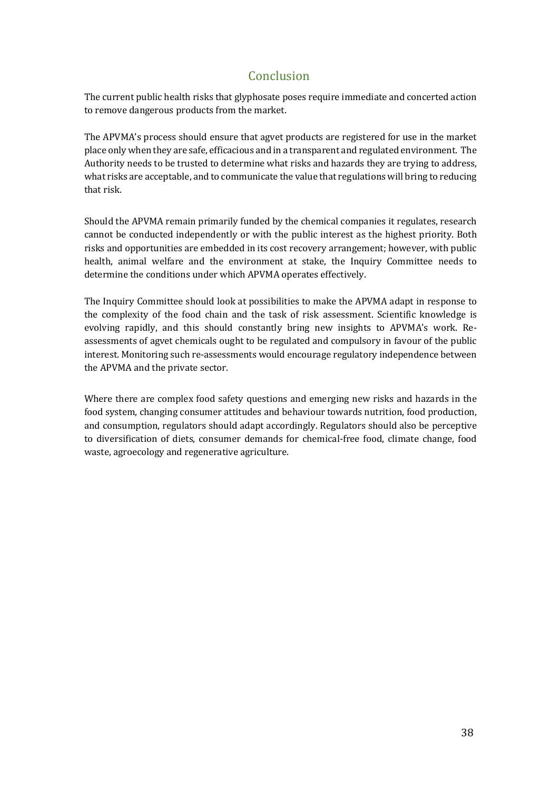# Conclusion

The current public health risks that glyphosate poses require immediate and concerted action to remove dangerous products from the market.

The APVMA's process should ensure that agvet products are registered for use in the market place only when they are safe, efficacious and in a transparent and regulated environment. The Authority needs to be trusted to determine what risks and hazards they are trying to address, what risks are acceptable, and to communicate the value that regulations will bring to reducing that risk.

Should the APVMA remain primarily funded by the chemical companies it regulates, research cannot be conducted independently or with the public interest as the highest priority. Both risks and opportunities are embedded in its cost recovery arrangement; however, with public health, animal welfare and the environment at stake, the Inquiry Committee needs to determine the conditions under which APVMA operates effectively.

The Inquiry Committee should look at possibilities to make the APVMA adapt in response to the complexity of the food chain and the task of risk assessment. Scientific knowledge is evolving rapidly, and this should constantly bring new insights to APVMA's work. Reassessments of agvet chemicals ought to be regulated and compulsory in favour of the public interest. Monitoring such re-assessments would encourage regulatory independence between the APVMA and the private sector.

Where there are complex food safety questions and emerging new risks and hazards in the food system, changing consumer attitudes and behaviour towards nutrition, food production, and consumption, regulators should adapt accordingly. Regulators should also be perceptive to diversification of diets, consumer demands for chemical-free food, climate change, food waste, agroecology and regenerative agriculture.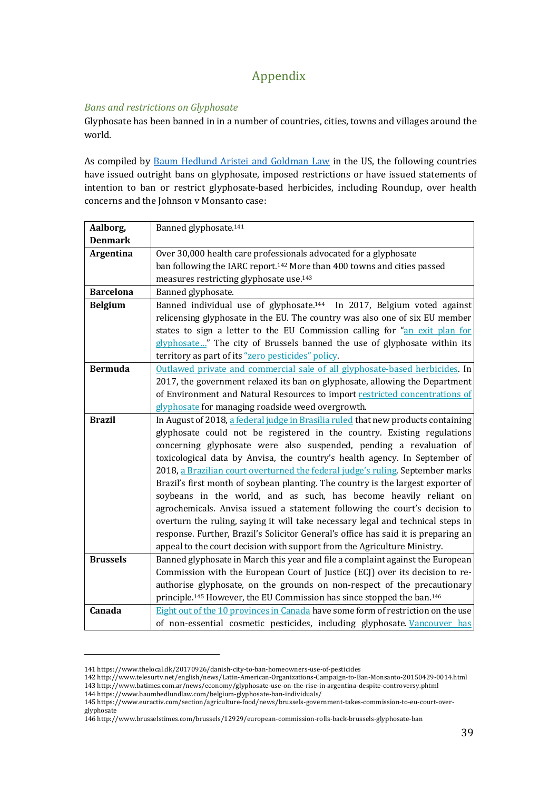# Appendix

# **Bans** and restrictions on Glyphosate

Glyphosate has been banned in in a number of countries, cities, towns and villages around the world. 

As compiled by Baum Hedlund Aristei and Goldman Law in the US, the following countries have issued outright bans on glyphosate, imposed restrictions or have issued statements of intention to ban or restrict glyphosate-based herbicides, including Roundup, over health concerns and the Johnson v Monsanto case:

| Aalborg,         | Banned glyphosate. <sup>141</sup>                                                              |
|------------------|------------------------------------------------------------------------------------------------|
| <b>Denmark</b>   |                                                                                                |
| Argentina        | Over 30,000 health care professionals advocated for a glyphosate                               |
|                  | ban following the IARC report. <sup>142</sup> More than 400 towns and cities passed            |
|                  | measures restricting glyphosate use. <sup>143</sup>                                            |
| <b>Barcelona</b> | Banned glyphosate.                                                                             |
| <b>Belgium</b>   | Banned individual use of glyphosate. <sup>144</sup> In 2017, Belgium voted against             |
|                  | relicensing glyphosate in the EU. The country was also one of six EU member                    |
|                  | states to sign a letter to the EU Commission calling for "an exit plan for                     |
|                  | glyphosate" The city of Brussels banned the use of glyphosate within its                       |
|                  | territory as part of its "zero pesticides" policy.                                             |
| <b>Bermuda</b>   | Outlawed private and commercial sale of all glyphosate-based herbicides. In                    |
|                  | 2017, the government relaxed its ban on glyphosate, allowing the Department                    |
|                  | of Environment and Natural Resources to import restricted concentrations of                    |
|                  | glyphosate for managing roadside weed overgrowth.                                              |
| <b>Brazil</b>    | In August of 2018, a federal judge in Brasilia ruled that new products containing              |
|                  | glyphosate could not be registered in the country. Existing regulations                        |
|                  | concerning glyphosate were also suspended, pending a revaluation of                            |
|                  | toxicological data by Anvisa, the country's health agency. In September of                     |
|                  | 2018, a Brazilian court overturned the federal judge's ruling. September marks                 |
|                  | Brazil's first month of soybean planting. The country is the largest exporter of               |
|                  | soybeans in the world, and as such, has become heavily reliant on                              |
|                  | agrochemicals. Anvisa issued a statement following the court's decision to                     |
|                  | overturn the ruling, saying it will take necessary legal and technical steps in                |
|                  | response. Further, Brazil's Solicitor General's office has said it is preparing an             |
|                  | appeal to the court decision with support from the Agriculture Ministry.                       |
| <b>Brussels</b>  | Banned glyphosate in March this year and file a complaint against the European                 |
|                  | Commission with the European Court of Justice (ECJ) over its decision to re-                   |
|                  | authorise glyphosate, on the grounds on non-respect of the precautionary                       |
|                  | principle. <sup>145</sup> However, the EU Commission has since stopped the ban. <sup>146</sup> |
| Canada           | Eight out of the 10 provinces in Canada have some form of restriction on the use               |
|                  | of non-essential cosmetic pesticides, including glyphosate. Vancouver has                      |

<sup>141</sup> https://www.thelocal.dk/20170926/danish-city-to-ban-homeowners-use-of-pesticides

<sup>142</sup> http://www.telesurtv.net/english/news/Latin-American-Organizations-Campaign-to-Ban-Monsanto-20150429-0014.html 143 http://www.batimes.com.ar/news/economy/glyphosate-use-on-the-rise-in-argentina-despite-controversy.phtml

<sup>144</sup> https://www.baumhedlundlaw.com/belgium-glyphosate-ban-individuals/

<sup>145</sup> https://www.euractiv.com/section/agriculture-food/news/brussels-government-takes-commission-to-eu-court-overglyphosate

<sup>146</sup> http://www.brusselstimes.com/brussels/12929/european-commission-rolls-back-brussels-glyphosate-ban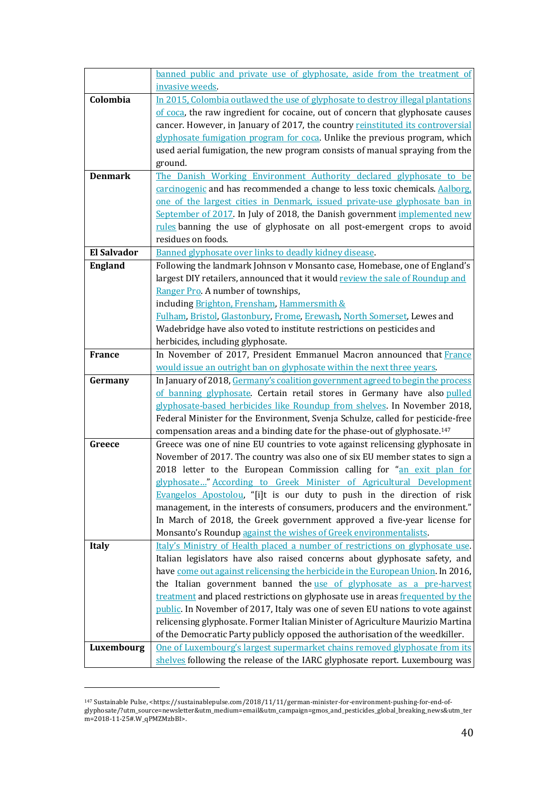|                    | banned public and private use of glyphosate, aside from the treatment of                                                                                                 |
|--------------------|--------------------------------------------------------------------------------------------------------------------------------------------------------------------------|
|                    | invasive weeds.                                                                                                                                                          |
| Colombia           | In 2015, Colombia outlawed the use of glyphosate to destroy illegal plantations                                                                                          |
|                    | of coca, the raw ingredient for cocaine, out of concern that glyphosate causes                                                                                           |
|                    | cancer. However, in January of 2017, the country reinstituted its controversial                                                                                          |
|                    | glyphosate fumigation program for coca. Unlike the previous program, which                                                                                               |
|                    | used aerial fumigation, the new program consists of manual spraying from the                                                                                             |
|                    | ground.                                                                                                                                                                  |
| <b>Denmark</b>     | The Danish Working Environment Authority declared glyphosate to be                                                                                                       |
|                    | carcinogenic and has recommended a change to less toxic chemicals. Aalborg,                                                                                              |
|                    | one of the largest cities in Denmark, issued private-use glyphosate ban in                                                                                               |
|                    | September of 2017. In July of 2018, the Danish government implemented new                                                                                                |
|                    | rules banning the use of glyphosate on all post-emergent crops to avoid                                                                                                  |
|                    | residues on foods.                                                                                                                                                       |
| <b>El Salvador</b> | Banned glyphosate over links to deadly kidney disease.                                                                                                                   |
| <b>England</b>     | Following the landmark Johnson v Monsanto case, Homebase, one of England's                                                                                               |
|                    | largest DIY retailers, announced that it would review the sale of Roundup and                                                                                            |
|                    | Ranger Pro. A number of townships,                                                                                                                                       |
|                    |                                                                                                                                                                          |
|                    | including Brighton, Frensham, Hammersmith &                                                                                                                              |
|                    | Fulham, Bristol, Glastonbury, Frome, Erewash, North Somerset, Lewes and                                                                                                  |
|                    | Wadebridge have also voted to institute restrictions on pesticides and                                                                                                   |
| <b>France</b>      | herbicides, including glyphosate.<br>In November of 2017, President Emmanuel Macron announced that France                                                                |
|                    |                                                                                                                                                                          |
|                    | would issue an outright ban on glyphosate within the next three years.                                                                                                   |
| Germany            | In January of 2018, Germany's coalition government agreed to begin the process                                                                                           |
|                    | of banning glyphosate. Certain retail stores in Germany have also pulled                                                                                                 |
|                    | glyphosate-based herbicides like Roundup from shelves. In November 2018,                                                                                                 |
|                    | Federal Minister for the Environment, Svenja Schulze, called for pesticide-free<br>compensation areas and a binding date for the phase-out of glyphosate. <sup>147</sup> |
|                    |                                                                                                                                                                          |
| Greece             | Greece was one of nine EU countries to vote against relicensing glyphosate in<br>November of 2017. The country was also one of six EU member states to sign a            |
|                    | 2018 letter to the European Commission calling for "an exit plan for                                                                                                     |
|                    |                                                                                                                                                                          |
|                    | glyphosate" According to Greek Minister of Agricultural Development<br>Evangelos Apostolou, "[i]t is our duty to push in the direction of risk                           |
|                    | management, in the interests of consumers, producers and the environment."                                                                                               |
|                    | In March of 2018, the Greek government approved a five-year license for                                                                                                  |
|                    | Monsanto's Roundup against the wishes of Greek environmentalists.                                                                                                        |
| <b>Italy</b>       | Italy's Ministry of Health placed a number of restrictions on glyphosate use.                                                                                            |
|                    | Italian legislators have also raised concerns about glyphosate safety, and                                                                                               |
|                    | have come out against relicensing the herbicide in the European Union. In 2016,                                                                                          |
|                    | the Italian government banned the <u>use of glyphosate as a pre-harvest</u>                                                                                              |
|                    | treatment and placed restrictions on glyphosate use in areas frequented by the                                                                                           |
|                    | public. In November of 2017, Italy was one of seven EU nations to vote against                                                                                           |
|                    | relicensing glyphosate. Former Italian Minister of Agriculture Maurizio Martina                                                                                          |
|                    | of the Democratic Party publicly opposed the authorisation of the weedkiller.                                                                                            |
|                    |                                                                                                                                                                          |
| Luxembourg         | One of Luxembourg's largest supermarket chains removed glyphosate from its                                                                                               |
|                    | shelves following the release of the IARC glyphosate report. Luxembourg was                                                                                              |

<sup>&</sup>lt;sup>147</sup> Sustainable Pulse, <https://sustainablepulse.com/2018/11/11/german-minister-for-environment-pushing-for-end-ofglyphosate/?utm\_source=newsletter&utm\_medium=email&utm\_campaign=gmos\_and\_pesticides\_global\_breaking\_news&utm\_ter m=2018-11-25#.W\_qPMZMzbBI>.